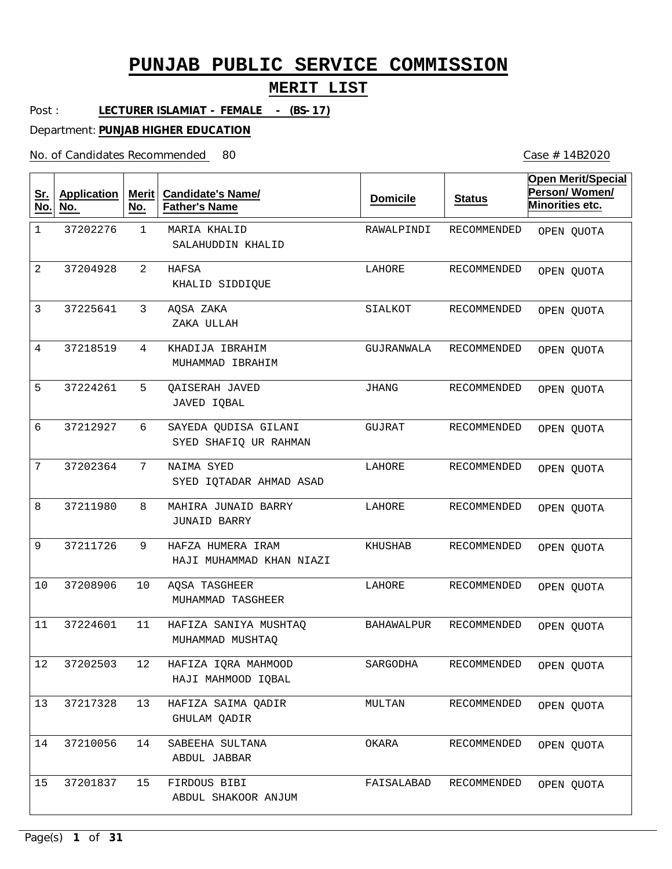### **MERIT LIST**

Post : **LECTURER ISLAMIAT - FEMALE - (BS-17)**

Department: **PUNJAB HIGHER EDUCATION**

No. of Candidates Recommended

| <u>Sr.</u><br>No. | <b>Application</b><br>No. | <b>Merit</b><br>No. | <b>Candidate's Name/</b><br><b>Father's Name</b> | <b>Domicile</b>   | <b>Status</b>      | <b>Open Merit/Special</b><br>Person/Women/<br>Minorities etc. |
|-------------------|---------------------------|---------------------|--------------------------------------------------|-------------------|--------------------|---------------------------------------------------------------|
| $\mathbf{1}$      | 37202276                  | 1                   | MARIA KHALID<br>SALAHUDDIN KHALID                | RAWALPINDI        | RECOMMENDED        | OPEN QUOTA                                                    |
| 2                 | 37204928                  | 2                   | <b>HAFSA</b><br>KHALID SIDDIOUE                  | LAHORE            | <b>RECOMMENDED</b> | OPEN QUOTA                                                    |
| 3                 | 37225641                  | 3                   | AOSA ZAKA<br>ZAKA ULLAH                          | SIALKOT           | RECOMMENDED        | OPEN QUOTA                                                    |
| 4                 | 37218519                  | 4                   | KHADIJA IBRAHIM<br>MUHAMMAD IBRAHIM              | GUJRANWALA        | RECOMMENDED        | OPEN QUOTA                                                    |
| 5                 | 37224261                  | 5                   | <b>QAISERAH JAVED</b><br>JAVED IQBAL             | <b>JHANG</b>      | <b>RECOMMENDED</b> | OPEN QUOTA                                                    |
| 6                 | 37212927                  | 6                   | SAYEDA QUDISA GILANI<br>SYED SHAFIQ UR RAHMAN    | GUJRAT            | RECOMMENDED        | OPEN QUOTA                                                    |
| 7                 | 37202364                  | 7                   | NAIMA SYED<br>SYED IQTADAR AHMAD ASAD            | LAHORE            | <b>RECOMMENDED</b> | OPEN QUOTA                                                    |
| 8                 | 37211980                  | 8                   | MAHIRA JUNAID BARRY<br>JUNAID BARRY              | LAHORE            | RECOMMENDED        | OPEN QUOTA                                                    |
| 9                 | 37211726                  | 9                   | HAFZA HUMERA IRAM<br>HAJI MUHAMMAD KHAN NIAZI    | KHUSHAB           | <b>RECOMMENDED</b> | OPEN QUOTA                                                    |
| 10                | 37208906                  | 10                  | AOSA TASGHEER<br>MUHAMMAD TASGHEER               | LAHORE            | RECOMMENDED        | OPEN QUOTA                                                    |
| 11                | 37224601                  | 11                  | HAFIZA SANIYA MUSHTAQ<br>MUHAMMAD MUSHTAO        | <b>BAHAWALPUR</b> | RECOMMENDED        | OPEN QUOTA                                                    |
| 12                | 37202503                  | 12                  | HAFIZA IORA MAHMOOD<br>HAJI MAHMOOD IOBAL        | SARGODHA          | RECOMMENDED        | OPEN QUOTA                                                    |
| 13                | 37217328                  | 13                  | HAFIZA SAIMA QADIR<br>GHULAM QADIR               | MULTAN            | RECOMMENDED        | OPEN QUOTA                                                    |
| 14                | 37210056                  | 14                  | SABEEHA SULTANA<br>ABDUL JABBAR                  | OKARA             | RECOMMENDED        | OPEN QUOTA                                                    |
| 15                | 37201837                  | 15                  | FIRDOUS BIBI<br>ABDUL SHAKOOR ANJUM              | FAISALABAD        | RECOMMENDED        | OPEN QUOTA                                                    |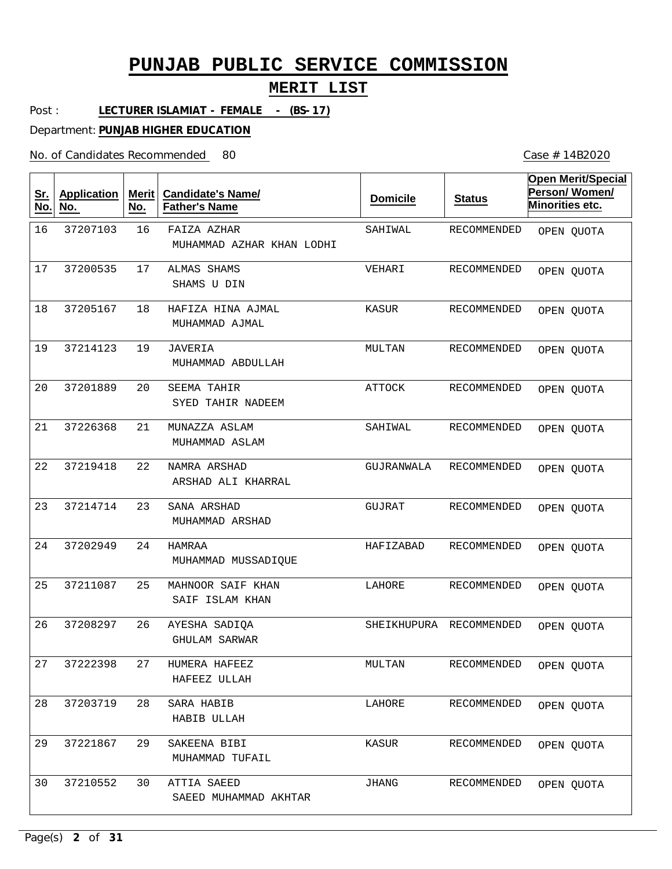### **MERIT LIST**

Post : **LECTURER ISLAMIAT - FEMALE - (BS-17)**

Department: **PUNJAB HIGHER EDUCATION**

No. of Candidates Recommended

| <u>Sr.</u><br>No. | <b>Application</b><br>No. | Merit<br>No. | <b>Candidate's Name/</b><br><b>Father's Name</b> | <b>Domicile</b> | <b>Status</b>      | <b>Open Merit/Special</b><br>Person/Women/<br>Minorities etc. |
|-------------------|---------------------------|--------------|--------------------------------------------------|-----------------|--------------------|---------------------------------------------------------------|
| 16                | 37207103                  | 16           | FAIZA AZHAR<br>MUHAMMAD AZHAR KHAN LODHI         | SAHIWAL         | RECOMMENDED        | OPEN QUOTA                                                    |
| 17                | 37200535                  | 17           | ALMAS SHAMS<br>SHAMS U DIN                       | VEHARI          | <b>RECOMMENDED</b> | OPEN QUOTA                                                    |
| 18                | 37205167                  | 18           | HAFIZA HINA AJMAL<br>MUHAMMAD AJMAL              | KASUR           | <b>RECOMMENDED</b> | OPEN QUOTA                                                    |
| 19                | 37214123                  | 19           | <b>JAVERIA</b><br>MUHAMMAD ABDULLAH              | MULTAN          | <b>RECOMMENDED</b> | OPEN QUOTA                                                    |
| 20                | 37201889                  | 20           | SEEMA TAHIR<br>SYED TAHIR NADEEM                 | <b>ATTOCK</b>   | <b>RECOMMENDED</b> | OPEN QUOTA                                                    |
| 21                | 37226368                  | 21           | MUNAZZA ASLAM<br>MUHAMMAD ASLAM                  | SAHIWAL         | <b>RECOMMENDED</b> | OPEN QUOTA                                                    |
| 22                | 37219418                  | 22           | NAMRA ARSHAD<br>ARSHAD ALI KHARRAL               | GUJRANWALA      | <b>RECOMMENDED</b> | OPEN QUOTA                                                    |
| 23                | 37214714                  | 23           | SANA ARSHAD<br>MUHAMMAD ARSHAD                   | GUJRAT          | <b>RECOMMENDED</b> | OPEN QUOTA                                                    |
| 24                | 37202949                  | 24           | HAMRAA<br>MUHAMMAD MUSSADIQUE                    | HAFIZABAD       | <b>RECOMMENDED</b> | OPEN QUOTA                                                    |
| 25                | 37211087                  | 25           | MAHNOOR SAIF KHAN<br>SAIF ISLAM KHAN             | LAHORE          | <b>RECOMMENDED</b> | OPEN QUOTA                                                    |
| 26                | 37208297                  | 26           | AYESHA SADIQA<br>GHULAM SARWAR                   | SHEIKHUPURA     | RECOMMENDED        | OPEN QUOTA                                                    |
| 27                | 37222398                  | 27           | HUMERA HAFEEZ<br>HAFEEZ ULLAH                    | MULTAN          | RECOMMENDED        | OPEN QUOTA                                                    |
| 28                | 37203719                  | 28           | SARA HABIB<br>HABIB ULLAH                        | LAHORE          | RECOMMENDED        | OPEN QUOTA                                                    |
| 29                | 37221867                  | 29           | SAKEENA BIBI<br>MUHAMMAD TUFAIL                  | KASUR           | RECOMMENDED        | OPEN QUOTA                                                    |
| 30                | 37210552                  | 30           | ATTIA SAEED<br>SAEED MUHAMMAD AKHTAR             | JHANG           | RECOMMENDED        | OPEN QUOTA                                                    |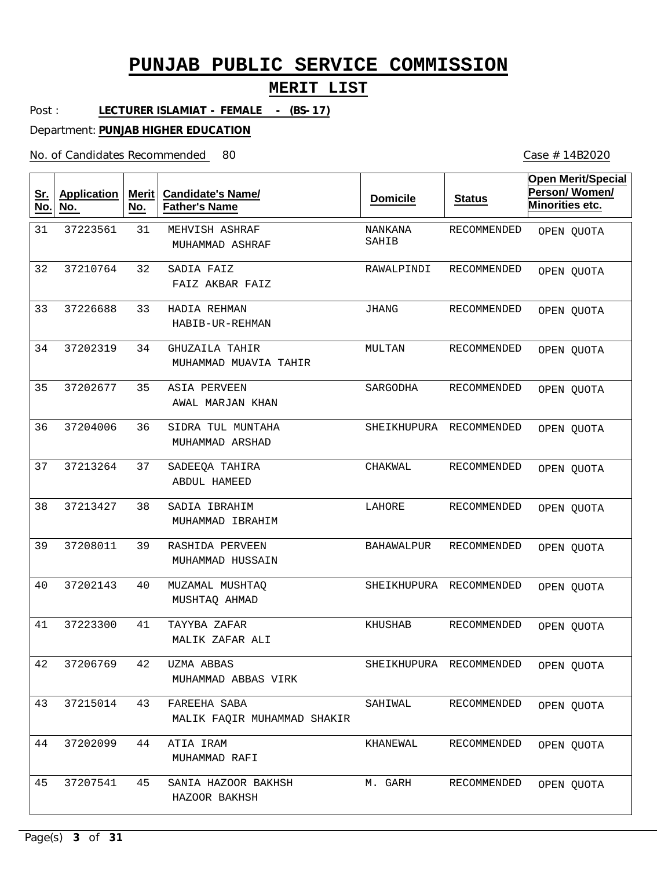### **MERIT LIST**

Post : **LECTURER ISLAMIAT - FEMALE - (BS-17)**

Department: **PUNJAB HIGHER EDUCATION**

No. of Candidates Recommended

| <u>Sr.</u><br>No. | <b>Application</b><br>No. | Merit  <br>No. | <b>Candidate's Name/</b><br><b>Father's Name</b> | <b>Domicile</b>         | <b>Status</b>           | <b>Open Merit/Special</b><br>Person/Women/<br>Minorities etc. |
|-------------------|---------------------------|----------------|--------------------------------------------------|-------------------------|-------------------------|---------------------------------------------------------------|
| 31                | 37223561                  | 31             | MEHVISH ASHRAF<br>MUHAMMAD ASHRAF                | <b>NANKANA</b><br>SAHIB | <b>RECOMMENDED</b>      | OPEN QUOTA                                                    |
| 32                | 37210764                  | 32             | SADIA FAIZ<br>FAIZ AKBAR FAIZ                    | RAWALPINDI              | <b>RECOMMENDED</b>      | OPEN QUOTA                                                    |
| 33                | 37226688                  | 33             | HADIA REHMAN<br>HABIB-UR-REHMAN                  | JHANG                   | <b>RECOMMENDED</b>      | OPEN QUOTA                                                    |
| 34                | 37202319                  | 34             | GHUZAILA TAHIR<br>MUHAMMAD MUAVIA TAHIR          | MULTAN                  | <b>RECOMMENDED</b>      | OPEN QUOTA                                                    |
| 35                | 37202677                  | 35             | ASIA PERVEEN<br>AWAL MARJAN KHAN                 | SARGODHA                | RECOMMENDED             | OPEN QUOTA                                                    |
| 36                | 37204006                  | 36             | SIDRA TUL MUNTAHA<br>MUHAMMAD ARSHAD             |                         | SHEIKHUPURA RECOMMENDED | OPEN QUOTA                                                    |
| 37                | 37213264                  | 37             | SADEEQA TAHIRA<br>ABDUL HAMEED                   | CHAKWAL                 | <b>RECOMMENDED</b>      | OPEN QUOTA                                                    |
| 38                | 37213427                  | 38             | SADIA IBRAHIM<br>MUHAMMAD IBRAHIM                | LAHORE                  | <b>RECOMMENDED</b>      | OPEN QUOTA                                                    |
| 39                | 37208011                  | 39             | RASHIDA PERVEEN<br>MUHAMMAD HUSSAIN              | <b>BAHAWALPUR</b>       | <b>RECOMMENDED</b>      | OPEN QUOTA                                                    |
| 40                | 37202143                  | 40             | MUZAMAL MUSHTAQ<br>MUSHTAQ AHMAD                 | SHEIKHUPURA             | RECOMMENDED             | OPEN QUOTA                                                    |
| 41                | 37223300                  | 41             | TAYYBA ZAFAR<br>MALIK ZAFAR ALI                  | KHUSHAB                 | RECOMMENDED             | OPEN QUOTA                                                    |
| 42                | 37206769                  | 42             | UZMA ABBAS<br>MUHAMMAD ABBAS VIRK                |                         | SHEIKHUPURA RECOMMENDED | OPEN QUOTA                                                    |
| 43                | 37215014                  | 43             | FAREEHA SABA<br>MALIK FAQIR MUHAMMAD SHAKIR      | SAHIWAL                 | RECOMMENDED             | OPEN QUOTA                                                    |
| 44                | 37202099                  | 44             | ATIA IRAM<br>MUHAMMAD RAFI                       | KHANEWAL                | RECOMMENDED             | OPEN QUOTA                                                    |
| 45                | 37207541                  | 45             | SANIA HAZOOR BAKHSH<br>HAZOOR BAKHSH             | M. GARH                 | RECOMMENDED             | OPEN QUOTA                                                    |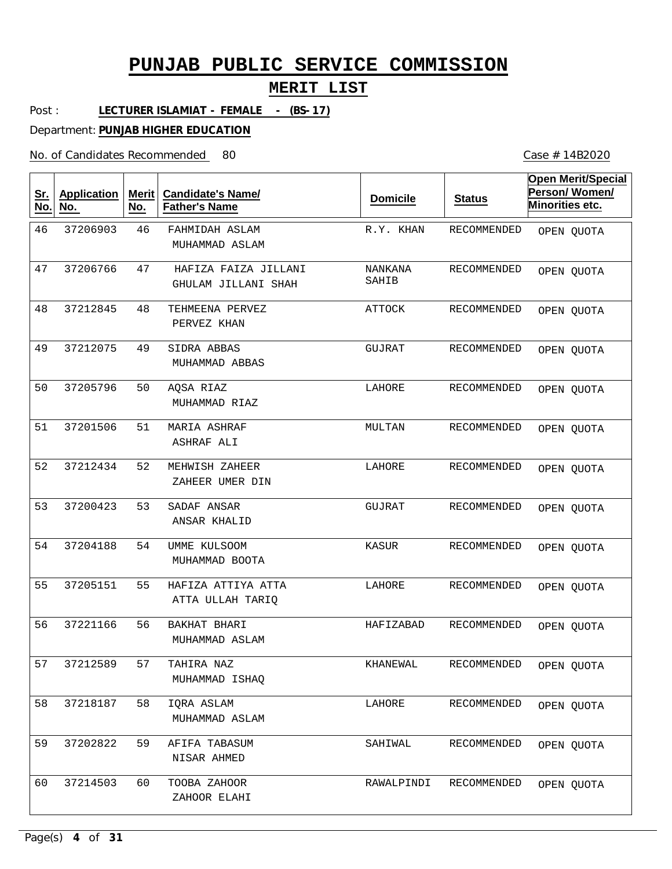### **MERIT LIST**

Post : **LECTURER ISLAMIAT - FEMALE - (BS-17)**

Department: **PUNJAB HIGHER EDUCATION**

No. of Candidates Recommended

| <u>Sr.</u><br>No. | <b>Application</b><br>No. | <b>Merit</b><br>No. | <b>Candidate's Name/</b><br><b>Father's Name</b> | <b>Domicile</b>         | <b>Status</b>      | <b>Open Merit/Special</b><br>Person/Women/<br>Minorities etc. |
|-------------------|---------------------------|---------------------|--------------------------------------------------|-------------------------|--------------------|---------------------------------------------------------------|
| 46                | 37206903                  | 46                  | FAHMIDAH ASLAM<br>MUHAMMAD ASLAM                 | R.Y. KHAN               | RECOMMENDED        | OPEN QUOTA                                                    |
| 47                | 37206766                  | 47                  | HAFIZA FAIZA JILLANI<br>GHULAM JILLANI SHAH      | <b>NANKANA</b><br>SAHIB | RECOMMENDED        | OPEN QUOTA                                                    |
| 48                | 37212845                  | 48                  | TEHMEENA PERVEZ<br>PERVEZ KHAN                   | <b>ATTOCK</b>           | <b>RECOMMENDED</b> | OPEN QUOTA                                                    |
| 49                | 37212075                  | 49                  | SIDRA ABBAS<br>MUHAMMAD ABBAS                    | GUJRAT                  | RECOMMENDED        | OPEN QUOTA                                                    |
| 50                | 37205796                  | 50                  | AQSA RIAZ<br>MUHAMMAD RIAZ                       | LAHORE                  | <b>RECOMMENDED</b> | OPEN QUOTA                                                    |
| 51                | 37201506                  | 51                  | MARIA ASHRAF<br>ASHRAF ALI                       | MULTAN                  | RECOMMENDED        | OPEN QUOTA                                                    |
| 52                | 37212434                  | 52                  | MEHWISH ZAHEER<br>ZAHEER UMER DIN                | LAHORE                  | RECOMMENDED        | OPEN QUOTA                                                    |
| 53                | 37200423                  | 53                  | SADAF ANSAR<br>ANSAR KHALID                      | <b>GUJRAT</b>           | RECOMMENDED        | OPEN QUOTA                                                    |
| 54                | 37204188                  | 54                  | UMME KULSOOM<br>MUHAMMAD BOOTA                   | KASUR                   | RECOMMENDED        | OPEN QUOTA                                                    |
| 55                | 37205151                  | 55                  | HAFIZA ATTIYA ATTA<br>ATTA ULLAH TARIQ           | LAHORE                  | RECOMMENDED        | OPEN QUOTA                                                    |
| 56                | 37221166                  | 56                  | BAKHAT BHARI<br>MUHAMMAD ASLAM                   | HAFIZABAD               | RECOMMENDED        | OPEN QUOTA                                                    |
| 57                | 37212589                  | 57                  | TAHIRA NAZ<br>MUHAMMAD ISHAQ                     | KHANEWAL                | RECOMMENDED        | OPEN QUOTA                                                    |
| 58                | 37218187                  | 58                  | IQRA ASLAM<br>MUHAMMAD ASLAM                     | LAHORE                  | RECOMMENDED        | OPEN QUOTA                                                    |
| 59                | 37202822                  | 59                  | AFIFA TABASUM<br>NISAR AHMED                     | SAHIWAL                 | RECOMMENDED        | OPEN QUOTA                                                    |
| 60                | 37214503                  | 60                  | TOOBA ZAHOOR<br>ZAHOOR ELAHI                     | RAWALPINDI              | RECOMMENDED        | OPEN QUOTA                                                    |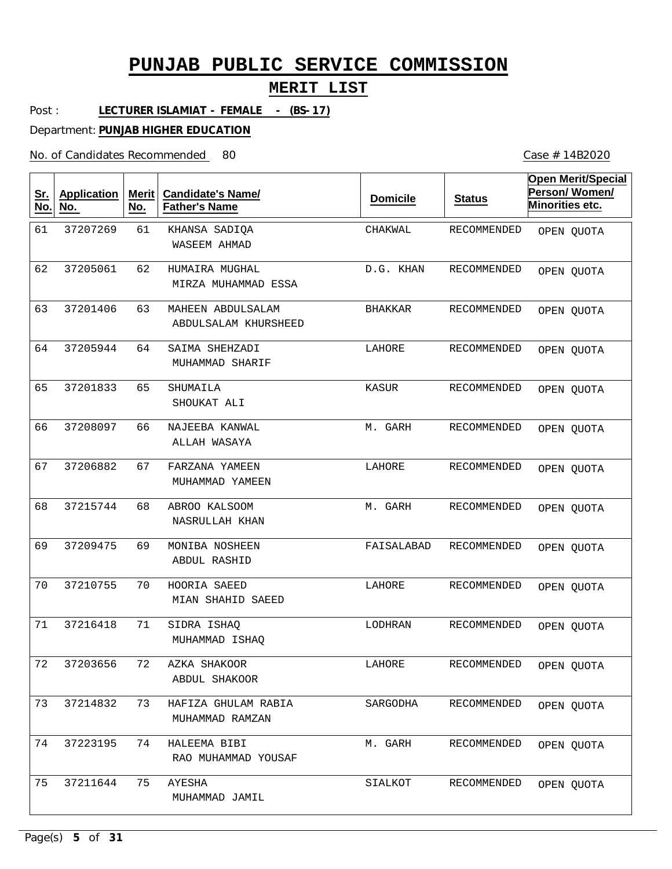### **MERIT LIST**

Post : LECTURER ISLAMIAT - FEMALE - (BS-17)

Department: **PUNJAB HIGHER EDUCATION**

No. of Candidates Recommended

| <u>Sr.</u><br>No. | <b>Application</b><br>No. | <b>Merit</b><br>No. | <b>Candidate's Name/</b><br><b>Father's Name</b> | <b>Domicile</b> | <b>Status</b>      | <b>Open Merit/Special</b><br>Person/Women/<br>Minorities etc. |
|-------------------|---------------------------|---------------------|--------------------------------------------------|-----------------|--------------------|---------------------------------------------------------------|
| 61                | 37207269                  | 61                  | KHANSA SADIQA<br><b>WASEEM AHMAD</b>             | CHAKWAL         | RECOMMENDED        | OPEN QUOTA                                                    |
| 62                | 37205061                  | 62                  | HUMAIRA MUGHAL<br>MIRZA MUHAMMAD ESSA            | D.G. KHAN       | RECOMMENDED        | OPEN QUOTA                                                    |
| 63                | 37201406                  | 63                  | MAHEEN ABDULSALAM<br>ABDULSALAM KHURSHEED        | BHAKKAR         | RECOMMENDED        | OPEN QUOTA                                                    |
| 64                | 37205944                  | 64                  | SAIMA SHEHZADI<br>MUHAMMAD SHARIF                | LAHORE          | RECOMMENDED        | OPEN QUOTA                                                    |
| 65                | 37201833                  | 65                  | SHUMAILA<br>SHOUKAT ALI                          | KASUR           | RECOMMENDED        | OPEN QUOTA                                                    |
| 66                | 37208097                  | 66                  | NAJEEBA KANWAL<br>ALLAH WASAYA                   | M. GARH         | RECOMMENDED        | OPEN QUOTA                                                    |
| 67                | 37206882                  | 67                  | FARZANA YAMEEN<br>MUHAMMAD YAMEEN                | LAHORE          | <b>RECOMMENDED</b> | OPEN QUOTA                                                    |
| 68                | 37215744                  | 68                  | ABROO KALSOOM<br>NASRULLAH KHAN                  | M. GARH         | RECOMMENDED        | OPEN QUOTA                                                    |
| 69                | 37209475                  | 69                  | MONIBA NOSHEEN<br>ABDUL RASHID                   | FAISALABAD      | RECOMMENDED        | OPEN QUOTA                                                    |
| 70                | 37210755                  | 70                  | HOORIA SAEED<br>MIAN SHAHID SAEED                | LAHORE          | RECOMMENDED        | OPEN QUOTA                                                    |
| 71                | 37216418                  | 71                  | SIDRA ISHAQ<br>MUHAMMAD ISHAQ                    | LODHRAN         | RECOMMENDED        | OPEN QUOTA                                                    |
| 72                | 37203656                  | 72                  | AZKA SHAKOOR<br>ABDUL SHAKOOR                    | LAHORE          | RECOMMENDED        | OPEN QUOTA                                                    |
| 73                | 37214832                  | 73                  | HAFIZA GHULAM RABIA<br>MUHAMMAD RAMZAN           | SARGODHA        | RECOMMENDED        | OPEN QUOTA                                                    |
| 74                | 37223195                  | 74                  | HALEEMA BIBI<br>RAO MUHAMMAD YOUSAF              | M. GARH         | RECOMMENDED        | OPEN QUOTA                                                    |
| 75                | 37211644                  | 75                  | AYESHA<br>MUHAMMAD JAMIL                         | SIALKOT         | RECOMMENDED        | OPEN QUOTA                                                    |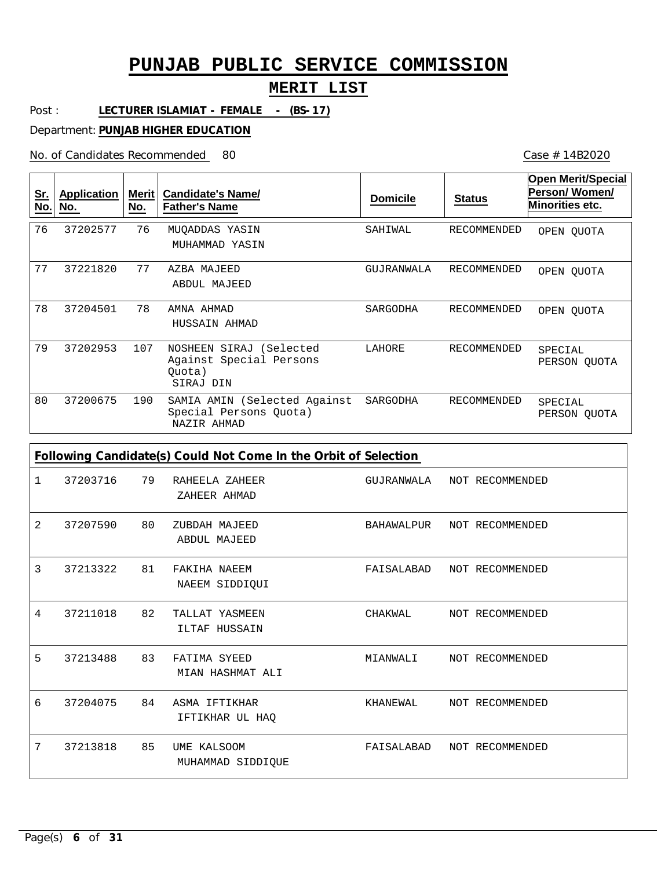### **MERIT LIST**

Post : LECTURER ISLAMIAT - FEMALE - (BS-17)

Department: **PUNJAB HIGHER EDUCATION**

No. of Candidates Recommended

| <u>Sr.</u><br>No. | <b>Application</b><br>No. | <b>Merit</b><br>No. | <b>Candidate's Name/</b><br><b>Father's Name</b>                          | <b>Domicile</b>   | <b>Status</b>      | <b>Open Merit/Special</b><br>Person/Women/<br>Minorities etc. |
|-------------------|---------------------------|---------------------|---------------------------------------------------------------------------|-------------------|--------------------|---------------------------------------------------------------|
| 76                | 37202577                  | 76                  | MUQADDAS YASIN<br>MUHAMMAD YASIN                                          | SAHIWAL           | RECOMMENDED        | OPEN OUOTA                                                    |
| 77                | 37221820                  | 77                  | AZBA MAJEED<br><b>ABDUL MAJEED</b>                                        | GUJRANWALA        | <b>RECOMMENDED</b> | OPEN OUOTA                                                    |
| 78                | 37204501                  | 78                  | AMNA AHMAD<br>HUSSAIN AHMAD                                               | SARGODHA          | <b>RECOMMENDED</b> | OPEN OUOTA                                                    |
| 79                | 37202953                  | 107                 | NOSHEEN SIRAJ (Selected<br>Against Special Persons<br>Ouota)<br>SIRAJ DIN | LAHORE            | <b>RECOMMENDED</b> | SPECIAL<br>PERSON QUOTA                                       |
| 80                | 37200675                  | 190                 | SAMIA AMIN (Selected Against<br>Special Persons Quota)<br>NAZIR AHMAD     | SARGODHA          | <b>RECOMMENDED</b> | SPECIAL<br>PERSON QUOTA                                       |
|                   |                           |                     | Following Candidate(s) Could Not Come In the Orbit of Selection           |                   |                    |                                                               |
| $\mathbf{1}$      | 37203716                  | 79                  | RAHEELA ZAHEER<br>ZAHEER AHMAD                                            | GUJRANWALA        | NOT RECOMMENDED    |                                                               |
| 2                 | 37207590                  | 80                  | ZUBDAH MAJEED<br><b>ABDUL MAJEED</b>                                      | <b>BAHAWALPUR</b> | NOT RECOMMENDED    |                                                               |
| 3                 | 37213322                  | 81                  | FAKIHA NAEEM<br>NAEEM SIDDIQUI                                            | FAISALABAD        | NOT RECOMMENDED    |                                                               |

| 4 | 37211018 | 82 | TALLAT YASMEEN<br>ILTAF HUSSAIN  | CHAKWAL    | NOT RECOMMENDED |
|---|----------|----|----------------------------------|------------|-----------------|
| 5 | 37213488 | 83 | FATIMA SYEED<br>MIAN HASHMAT ALI | MIANWALI   | NOT RECOMMENDED |
| 6 | 37204075 | 84 | ASMA IFTIKHAR<br>IFTIKHAR UL HAO | KHANEWAL   | NOT RECOMMENDED |
| 7 | 37213818 | 85 | UME KALSOOM<br>MUHAMMAD SIDDIOUE | FAISALABAD | NOT RECOMMENDED |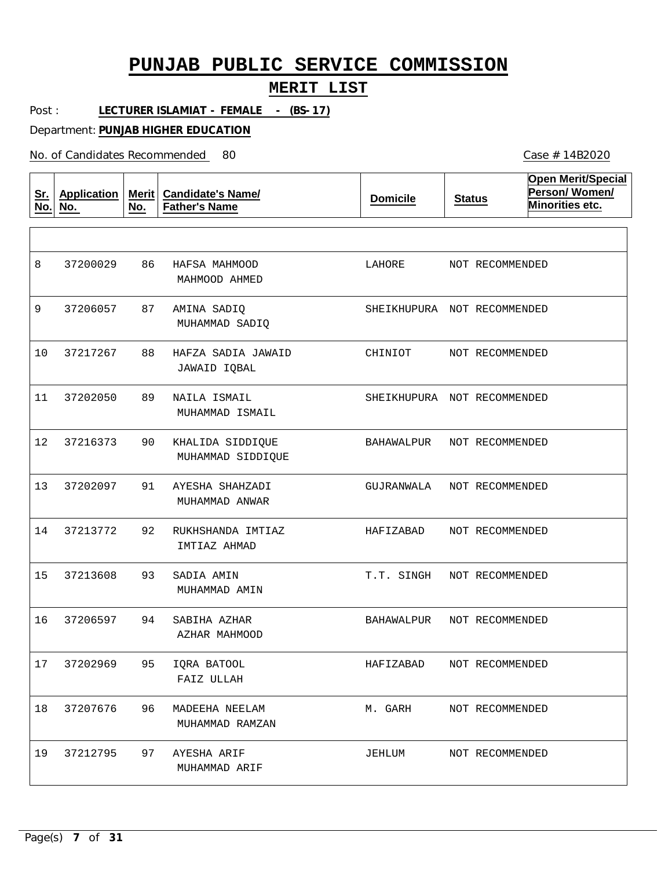### **MERIT LIST**

Case # 14B2020

Post : LECTURER ISLAMIAT - FEMALE - (BS-17)

Department: **PUNJAB HIGHER EDUCATION**

| <u>Sr.</u><br>No. | <b>Application</b><br>No. | <b>Merit</b><br>No. | <b>Candidate's Name/</b><br><b>Father's Name</b> | <b>Domicile</b>             | <b>Status</b>   | <b>Open Merit/Special</b><br>Person/Women/<br>Minorities etc. |
|-------------------|---------------------------|---------------------|--------------------------------------------------|-----------------------------|-----------------|---------------------------------------------------------------|
|                   |                           |                     |                                                  |                             |                 |                                                               |
| 8                 | 37200029                  | 86                  | HAFSA MAHMOOD<br>MAHMOOD AHMED                   | LAHORE                      | NOT RECOMMENDED |                                                               |
| 9                 | 37206057                  | 87                  | AMINA SADIQ<br>MUHAMMAD SADIQ                    | SHEIKHUPURA NOT RECOMMENDED |                 |                                                               |
| 10                | 37217267                  | 88                  | HAFZA SADIA JAWAID<br>JAWAID IQBAL               | CHINIOT                     | NOT RECOMMENDED |                                                               |
| 11                | 37202050                  | 89                  | NAILA ISMAIL<br>MUHAMMAD ISMAIL                  | SHEIKHUPURA NOT RECOMMENDED |                 |                                                               |
| $12 \overline{ }$ | 37216373                  | 90                  | KHALIDA SIDDIQUE<br>MUHAMMAD SIDDIQUE            | BAHAWALPUR                  | NOT RECOMMENDED |                                                               |
| 13                | 37202097                  | 91                  | AYESHA SHAHZADI<br>MUHAMMAD ANWAR                | GUJRANWALA                  | NOT RECOMMENDED |                                                               |
| 14                | 37213772                  | 92                  | RUKHSHANDA IMTIAZ<br>IMTIAZ AHMAD                | HAFIZABAD                   | NOT RECOMMENDED |                                                               |
| 15                | 37213608                  | 93                  | SADIA AMIN<br>MUHAMMAD AMIN                      | T.T. SINGH                  | NOT RECOMMENDED |                                                               |
| 16                | 37206597                  | 94                  | SABIHA AZHAR<br>AZHAR MAHMOOD                    | BAHAWALPUR                  | NOT RECOMMENDED |                                                               |
| 17                | 37202969                  | 95                  | IQRA BATOOL<br>FAIZ ULLAH                        | HAFIZABAD                   | NOT RECOMMENDED |                                                               |
| 18                | 37207676                  | 96                  | MADEEHA NEELAM<br>MUHAMMAD RAMZAN                | M. GARH                     | NOT RECOMMENDED |                                                               |
| 19                | 37212795                  | 97                  | AYESHA ARIF<br>MUHAMMAD ARIF                     | JEHLUM                      | NOT RECOMMENDED |                                                               |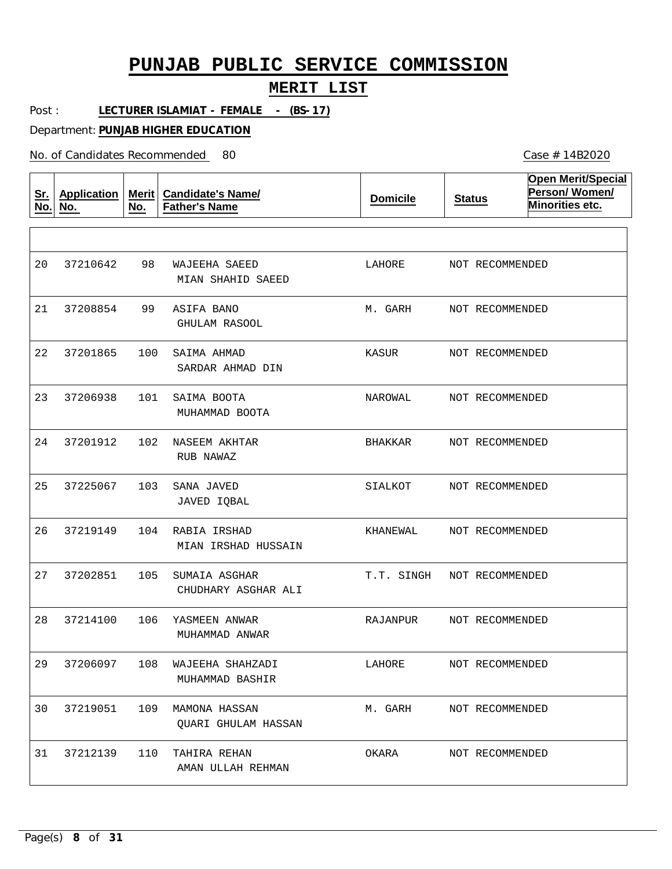### **MERIT LIST**

Post : LECTURER ISLAMIAT - FEMALE - (BS-17)

Department: **PUNJAB HIGHER EDUCATION**

| <u>Sr.</u><br>No. | <b>Application</b><br>No. | Merit<br>No. | <b>Candidate's Name/</b><br><b>Father's Name</b> | <b>Domicile</b> | <b>Status</b>   | <b>Open Merit/Special</b><br>Person/Women/<br>Minorities etc. |
|-------------------|---------------------------|--------------|--------------------------------------------------|-----------------|-----------------|---------------------------------------------------------------|
|                   |                           |              |                                                  |                 |                 |                                                               |
| 20                | 37210642                  | 98           | WAJEEHA SAEED<br>MIAN SHAHID SAEED               | LAHORE          | NOT RECOMMENDED |                                                               |
| 21                | 37208854                  | 99           | ASIFA BANO<br>GHULAM RASOOL                      | M. GARH         | NOT RECOMMENDED |                                                               |
| 22                | 37201865                  | 100          | SAIMA AHMAD<br>SARDAR AHMAD DIN                  | KASUR           | NOT RECOMMENDED |                                                               |
| 23                | 37206938                  | 101          | SAIMA BOOTA<br>MUHAMMAD BOOTA                    | NAROWAL         | NOT RECOMMENDED |                                                               |
| 24                | 37201912                  | 102          | NASEEM AKHTAR<br>RUB NAWAZ                       | BHAKKAR         | NOT RECOMMENDED |                                                               |
| 25                | 37225067                  | 103          | SANA JAVED<br>JAVED IQBAL                        | SIALKOT         | NOT RECOMMENDED |                                                               |
| 26                | 37219149                  | 104          | RABIA IRSHAD<br>MIAN IRSHAD HUSSAIN              | KHANEWAL        | NOT RECOMMENDED |                                                               |
| 27                | 37202851                  | 105          | SUMAIA ASGHAR<br>CHUDHARY ASGHAR ALI             | T.T. SINGH      | NOT RECOMMENDED |                                                               |
| 28                | 37214100                  | 106          | YASMEEN ANWAR<br>MUHAMMAD ANWAR                  | RAJANPUR        | NOT RECOMMENDED |                                                               |
| 29                | 37206097                  | 108          | WAJEEHA SHAHZADI<br>MUHAMMAD BASHIR              | LAHORE          | NOT RECOMMENDED |                                                               |
| 30                | 37219051                  | 109          | MAMONA HASSAN<br><b>QUARI GHULAM HASSAN</b>      | M. GARH         | NOT RECOMMENDED |                                                               |
| 31                | 37212139                  | 110          | TAHIRA REHAN<br>AMAN ULLAH REHMAN                | OKARA           | NOT RECOMMENDED |                                                               |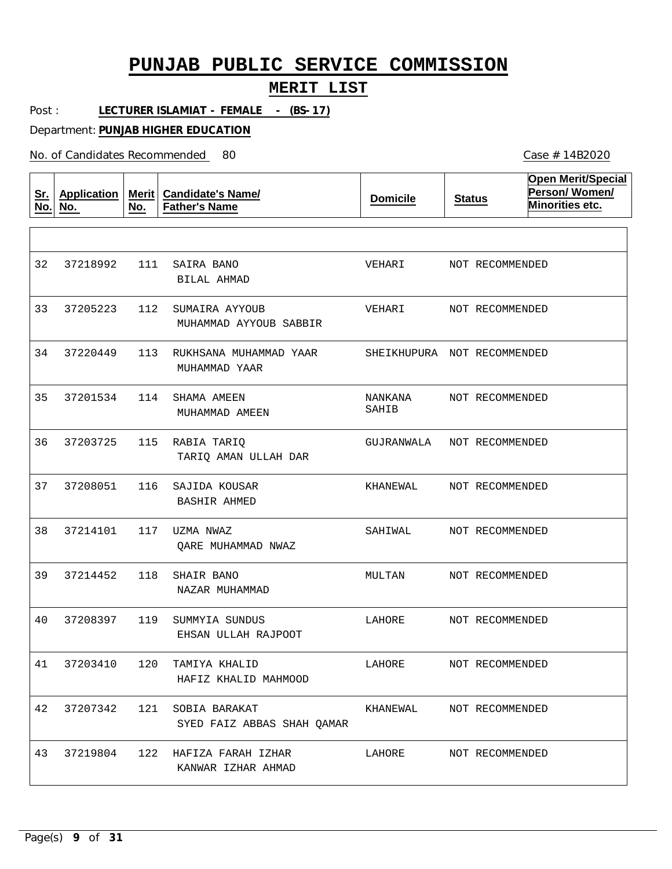### **MERIT LIST**

Case # 14B2020

Post : LECTURER ISLAMIAT - FEMALE - (BS-17)

Department: **PUNJAB HIGHER EDUCATION**

| <u>Sr.</u><br>No. | <b>Application</b><br>No. | Merit<br>No. | <b>Candidate's Name/</b><br><b>Father's Name</b> | <b>Domicile</b>             | <b>Status</b>   | <b>Open Merit/Special</b><br>Person/Women/<br>Minorities etc. |
|-------------------|---------------------------|--------------|--------------------------------------------------|-----------------------------|-----------------|---------------------------------------------------------------|
|                   |                           |              |                                                  |                             |                 |                                                               |
| 32                | 37218992                  | 111          | SAIRA BANO<br>BILAL AHMAD                        | VEHARI                      | NOT RECOMMENDED |                                                               |
| 33                | 37205223                  | 112          | SUMAIRA AYYOUB<br>MUHAMMAD AYYOUB SABBIR         | VEHARI                      | NOT RECOMMENDED |                                                               |
| 34                | 37220449                  | 113          | RUKHSANA MUHAMMAD YAAR<br>MUHAMMAD YAAR          | SHEIKHUPURA NOT RECOMMENDED |                 |                                                               |
| 35                | 37201534                  | 114          | SHAMA AMEEN<br>MUHAMMAD AMEEN                    | NANKANA<br>SAHIB            | NOT RECOMMENDED |                                                               |
| 36                | 37203725                  | 115          | RABIA TARIO<br>TARIQ AMAN ULLAH DAR              | GUJRANWALA                  | NOT RECOMMENDED |                                                               |
| 37                | 37208051                  | 116          | SAJIDA KOUSAR<br>BASHIR AHMED                    | KHANEWAL                    | NOT RECOMMENDED |                                                               |
| 38                | 37214101                  | 117          | UZMA NWAZ<br><b>QARE MUHAMMAD NWAZ</b>           | SAHIWAL                     | NOT RECOMMENDED |                                                               |
| 39                | 37214452                  | 118          | SHAIR BANO<br>NAZAR MUHAMMAD                     | MULTAN                      | NOT RECOMMENDED |                                                               |
| 40                | 37208397                  | 119          | SUMMYIA SUNDUS<br>EHSAN ULLAH RAJPOOT            | LAHORE                      | NOT RECOMMENDED |                                                               |
| 41                | 37203410                  | 120          | TAMIYA KHALID<br>HAFIZ KHALID MAHMOOD            | LAHORE                      | NOT RECOMMENDED |                                                               |
| 42                | 37207342                  | 121          | SOBIA BARAKAT<br>SYED FAIZ ABBAS SHAH OAMAR      | KHANEWAL                    | NOT RECOMMENDED |                                                               |
| 43                | 37219804                  |              | 122 HAFIZA FARAH IZHAR<br>KANWAR IZHAR AHMAD     | LAHORE                      | NOT RECOMMENDED |                                                               |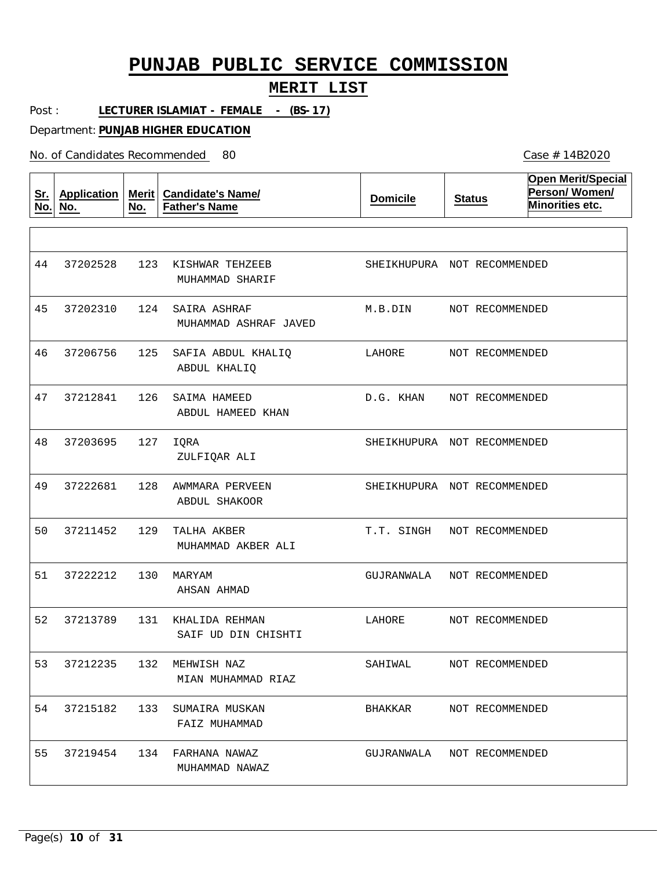#### **MERIT LIST**

Post : LECTURER ISLAMIAT - FEMALE - (BS-17)

Department: **PUNJAB HIGHER EDUCATION**

No. of Candidates Recommended

**Sr. No. Application No. Merit No. Candidate's Name/ Father's Name Domicile Status Open Merit/Special Person/ Women/ Minorities etc.** 123 KISHWAR TEHZEEB 124 SAIRA ASHRAF 125 126 SAIMA HAMEED 127 128 129 TALHA AKBER 130 MARYAM 131 KHALIDA REHMAN 132 MEHWISH NAZ 133 SUMAIRA MUSKAN 134 FARHANA NAWAZ SAFIA ABDUL KHALIQ IQRA AWMMARA PERVEEN MUHAMMAD SHARIF MUHAMMAD ASHRAF JAVED ABDUL KHALIQ ABDUL HAMEED KHAN ZULFIQAR ALI ABDUL SHAKOOR MUHAMMAD AKBER ALI AHSAN AHMAD SAIF UD DIN CHISHTI MIAN MUHAMMAD RIAZ FAIZ MUHAMMAD MUHAMMAD NAWAZ 44 45 37202310 46 47 48 49 50 51 52 53 37212235 54 37215182 55 37202528 37206756 37212841 37203695 37222681 37211452 37222212 37213789 37219454 SHEIKHUPURA NOT RECOMMENDED M.B.DIN LAHORE D.G. KHAN SHEIKHUPURA NOT RECOMMENDED SHEIKHUPURA NOT RECOMMENDED T.T. SINGH GUJRANWALA LAHORE SAHIWAL BHAKKAR GUJRANWALA NOT RECOMMENDED NOT RECOMMENDED NOT RECOMMENDED NOT RECOMMENDED NOT RECOMMENDED NOT RECOMMENDED NOT RECOMMENDED NOT RECOMMENDED NOT RECOMMENDED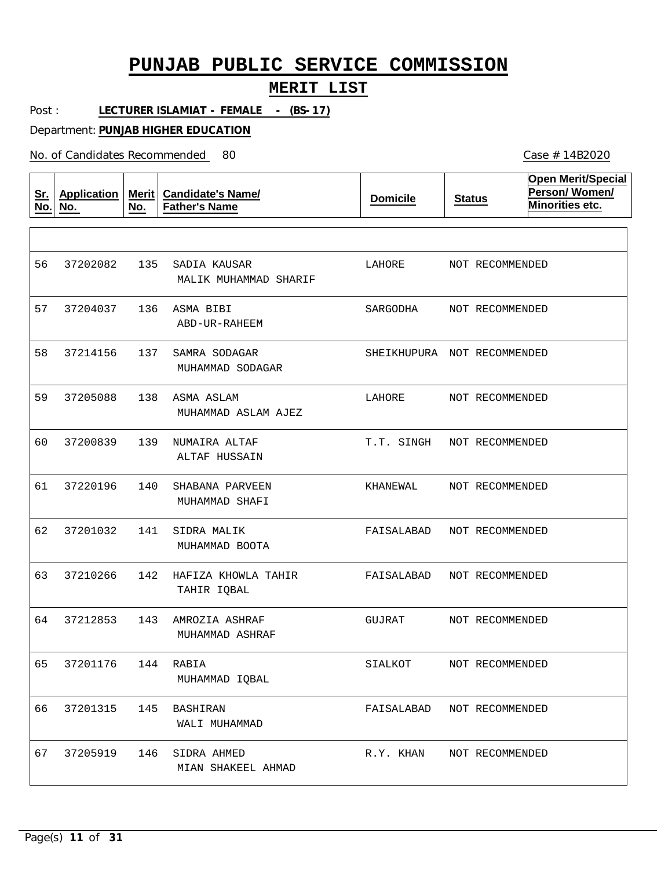### **MERIT LIST**

Case # 14B2020

Post : LECTURER ISLAMIAT - FEMALE - (BS-17)

Department: **PUNJAB HIGHER EDUCATION**

| <u>Sr.</u><br>No. | <b>Application</b><br>No. | Merit  <br>No. | <b>Candidate's Name/</b><br><b>Father's Name</b> | <b>Domicile</b> | <b>Status</b>               | <b>Open Merit/Special</b><br>Person/Women/<br>Minorities etc. |
|-------------------|---------------------------|----------------|--------------------------------------------------|-----------------|-----------------------------|---------------------------------------------------------------|
|                   |                           |                |                                                  |                 |                             |                                                               |
| 56                | 37202082                  | 135            | SADIA KAUSAR<br>MALIK MUHAMMAD SHARIF            | LAHORE          | NOT RECOMMENDED             |                                                               |
| 57                | 37204037                  | 136            | ASMA BIBI<br>ABD-UR-RAHEEM                       | SARGODHA        | NOT RECOMMENDED             |                                                               |
| 58                | 37214156                  | 137            | SAMRA SODAGAR<br>MUHAMMAD SODAGAR                |                 | SHEIKHUPURA NOT RECOMMENDED |                                                               |
| 59                | 37205088                  | 138            | ASMA ASLAM<br>MUHAMMAD ASLAM AJEZ                | LAHORE          | NOT RECOMMENDED             |                                                               |
| 60                | 37200839                  | 139            | NUMAIRA ALTAF<br>ALTAF HUSSAIN                   | T.T. SINGH      | NOT RECOMMENDED             |                                                               |
| 61                | 37220196                  | 140            | SHABANA PARVEEN<br>MUHAMMAD SHAFI                | KHANEWAL        | NOT RECOMMENDED             |                                                               |
| 62                | 37201032                  | 141            | SIDRA MALIK<br>MUHAMMAD BOOTA                    | FAISALABAD      | NOT RECOMMENDED             |                                                               |
| 63                | 37210266                  | 142            | HAFIZA KHOWLA TAHIR<br>TAHIR IQBAL               | FAISALABAD      | NOT RECOMMENDED             |                                                               |
| 64                | 37212853                  | 143            | AMROZIA ASHRAF<br>MUHAMMAD ASHRAF                | GUJRAT          | NOT RECOMMENDED             |                                                               |
| 65                | 37201176                  | 144            | RABIA<br>MUHAMMAD IQBAL                          | SIALKOT         | NOT RECOMMENDED             |                                                               |
| 66                | 37201315                  | 145            | BASHIRAN<br>WALI MUHAMMAD                        | FAISALABAD      | NOT RECOMMENDED             |                                                               |
| 67                | 37205919                  | 146            | SIDRA AHMED<br>MIAN SHAKEEL AHMAD                | R.Y. KHAN       | NOT RECOMMENDED             |                                                               |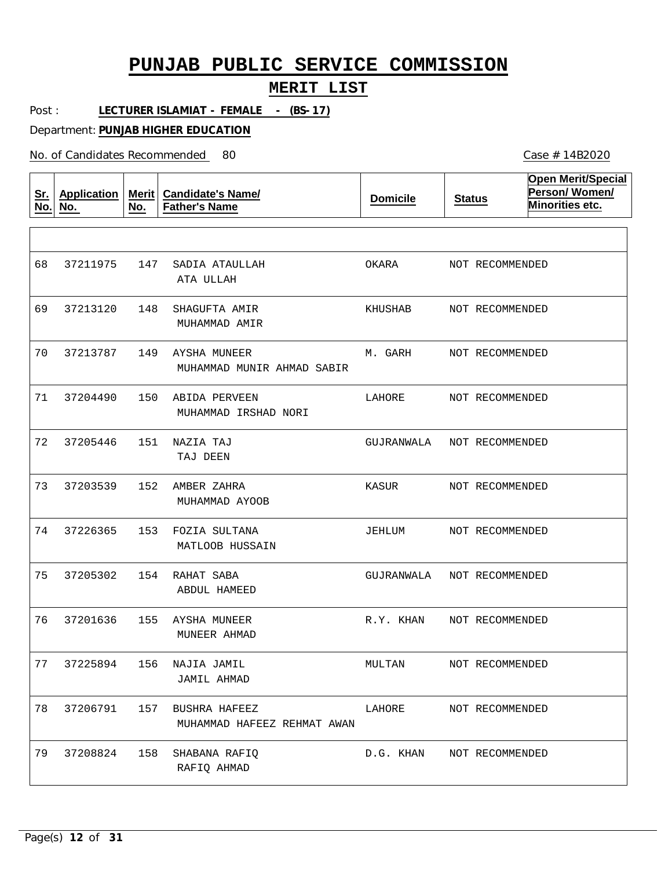### **MERIT LIST**

Post : LECTURER ISLAMIAT - FEMALE - (BS-17)

Department: **PUNJAB HIGHER EDUCATION**

No. of Candidates Recommended

| <u>Sr.</u><br>No. | <b>Application</b><br>No. | <b>Merit</b><br>No. | <b>Candidate's Name/</b><br><b>Father's Name</b> | <b>Domicile</b> | <b>Status</b>   | <b>Open Merit/Special</b><br>Person/Women/<br>Minorities etc. |
|-------------------|---------------------------|---------------------|--------------------------------------------------|-----------------|-----------------|---------------------------------------------------------------|
|                   |                           |                     |                                                  |                 |                 |                                                               |
| 68                | 37211975                  | 147                 | SADIA ATAULLAH<br>ATA ULLAH                      | OKARA           | NOT RECOMMENDED |                                                               |
| 69                | 37213120                  | 148                 | SHAGUFTA AMIR<br>MUHAMMAD AMIR                   | KHUSHAB         | NOT RECOMMENDED |                                                               |
| 70                | 37213787                  | 149                 | AYSHA MUNEER<br>MUHAMMAD MUNIR AHMAD SABIR       | M. GARH         | NOT RECOMMENDED |                                                               |
| 71                | 37204490                  | 150                 | ABIDA PERVEEN<br>MUHAMMAD IRSHAD NORI            | LAHORE          | NOT RECOMMENDED |                                                               |
| 72                | 37205446                  | 151                 | NAZIA TAJ<br>TAJ DEEN                            | GUJRANWALA      | NOT RECOMMENDED |                                                               |
| 73                | 37203539                  | 152                 | AMBER ZAHRA<br>MUHAMMAD AYOOB                    | KASUR           | NOT RECOMMENDED |                                                               |
| 74                | 37226365                  | 153                 | FOZIA SULTANA<br>MATLOOB HUSSAIN                 | JEHLUM          | NOT RECOMMENDED |                                                               |
| 75                | 37205302                  | 154                 | RAHAT SABA<br>ABDUL HAMEED                       | GUJRANWALA      | NOT RECOMMENDED |                                                               |
| 76                | 37201636                  | 155                 | AYSHA MUNEER<br>MUNEER AHMAD                     | R.Y. KHAN       | NOT RECOMMENDED |                                                               |
| 77                | 37225894                  |                     | 156 NAJIA JAMIL<br>JAMIL AHMAD                   | MULTAN          | NOT RECOMMENDED |                                                               |
| 78                | 37206791                  | 157                 | BUSHRA HAFEEZ<br>MUHAMMAD HAFEEZ REHMAT AWAN     | LAHORE          | NOT RECOMMENDED |                                                               |
| 79                | 37208824                  | 158                 | SHABANA RAFIQ<br>RAFIQ AHMAD                     | D.G. KHAN       | NOT RECOMMENDED |                                                               |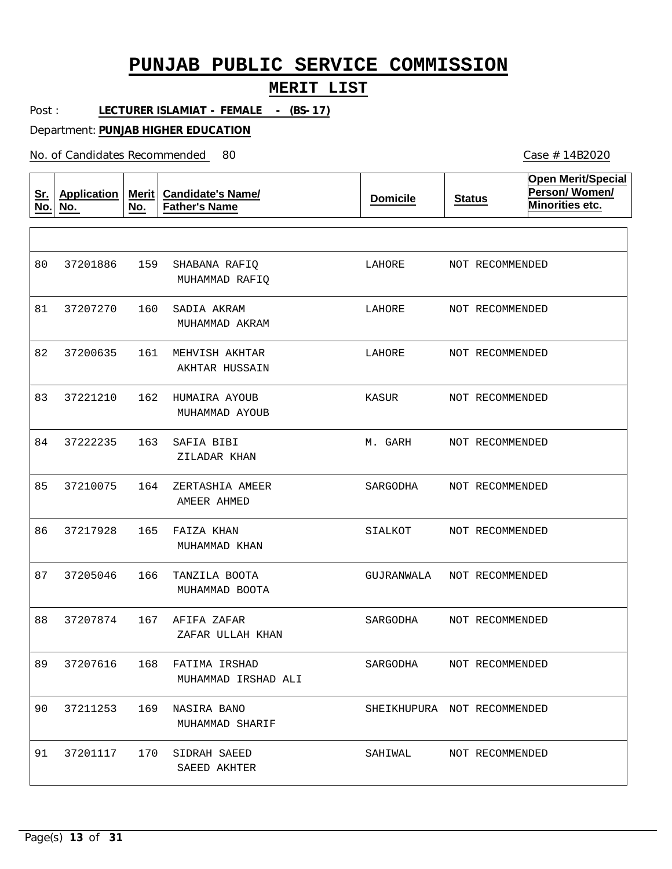### **MERIT LIST**

Post : **LECTURER ISLAMIAT - FEMALE - (BS-17)**

Department: **PUNJAB HIGHER EDUCATION**

| <u>Sr.</u><br>No. | <b>Application</b><br>No. | <b>Merit</b><br>No. | <b>Candidate's Name/</b><br><b>Father's Name</b> | <b>Domicile</b>             | <b>Status</b> |                 | <b>Open Merit/Special</b><br>Person/Women/<br>Minorities etc. |
|-------------------|---------------------------|---------------------|--------------------------------------------------|-----------------------------|---------------|-----------------|---------------------------------------------------------------|
|                   |                           |                     |                                                  |                             |               |                 |                                                               |
| 80                | 37201886                  | 159                 | SHABANA RAFIQ<br>MUHAMMAD RAFIQ                  | LAHORE                      |               | NOT RECOMMENDED |                                                               |
| 81                | 37207270                  | 160                 | SADIA AKRAM<br>MUHAMMAD AKRAM                    | LAHORE                      |               | NOT RECOMMENDED |                                                               |
| 82                | 37200635                  | 161                 | MEHVISH AKHTAR<br>AKHTAR HUSSAIN                 | LAHORE                      |               | NOT RECOMMENDED |                                                               |
| 83                | 37221210                  | 162                 | HUMAIRA AYOUB<br>MUHAMMAD AYOUB                  | KASUR                       |               | NOT RECOMMENDED |                                                               |
| 84                | 37222235                  | 163                 | SAFIA BIBI<br>ZILADAR KHAN                       | M. GARH                     |               | NOT RECOMMENDED |                                                               |
| 85                | 37210075                  | 164                 | ZERTASHIA AMEER<br>AMEER AHMED                   | SARGODHA                    |               | NOT RECOMMENDED |                                                               |
| 86                | 37217928                  | 165                 | FAIZA KHAN<br>MUHAMMAD KHAN                      | SIALKOT                     |               | NOT RECOMMENDED |                                                               |
| 87                | 37205046                  | 166                 | TANZILA BOOTA<br>MUHAMMAD BOOTA                  | GUJRANWALA                  |               | NOT RECOMMENDED |                                                               |
| 88                | 37207874                  | 167                 | AFIFA ZAFAR<br>ZAFAR ULLAH KHAN                  | SARGODHA                    |               | NOT RECOMMENDED |                                                               |
| 89                | 37207616                  | 168                 | FATIMA IRSHAD<br>MUHAMMAD IRSHAD ALI             | SARGODHA                    |               | NOT RECOMMENDED |                                                               |
| 90                | 37211253                  | 169                 | NASIRA BANO<br>MUHAMMAD SHARIF                   | SHEIKHUPURA NOT RECOMMENDED |               |                 |                                                               |
| 91                | 37201117                  | 170                 | SIDRAH SAEED<br>SAEED AKHTER                     | SAHIWAL                     |               | NOT RECOMMENDED |                                                               |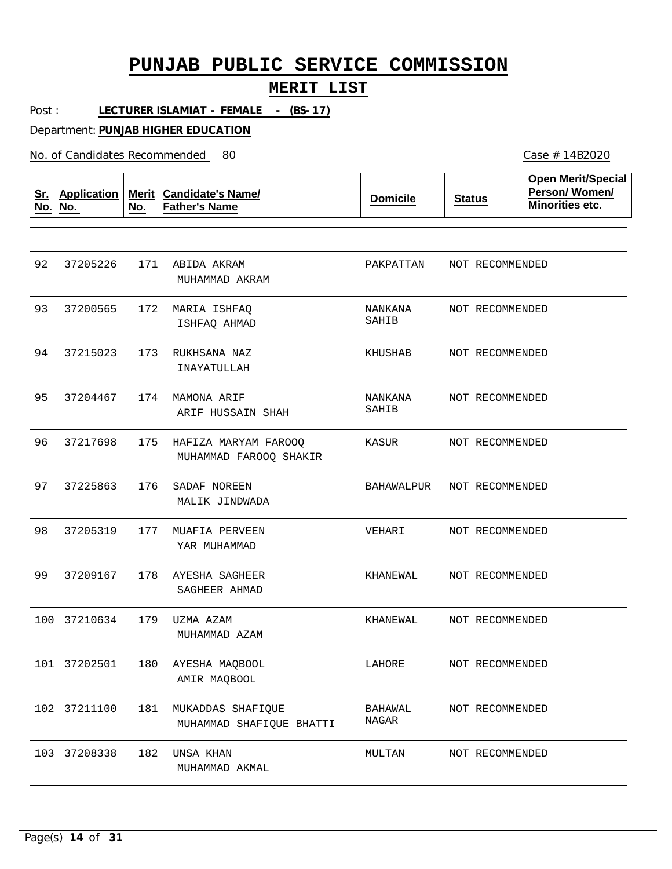### **MERIT LIST**

Post : LECTURER ISLAMIAT - FEMALE - (BS-17)

Department: **PUNJAB HIGHER EDUCATION**

| <u>Sr.</u><br>No. | <b>Application</b><br>No. | Merit $ $<br>No. | <b>Candidate's Name/</b><br><b>Father's Name</b> | <b>Domicile</b>  | <b>Status</b>   | <b>Open Merit/Special</b><br>Person/Women/<br>Minorities etc. |
|-------------------|---------------------------|------------------|--------------------------------------------------|------------------|-----------------|---------------------------------------------------------------|
|                   |                           |                  |                                                  |                  |                 |                                                               |
| 92                | 37205226                  | 171              | ABIDA AKRAM<br>MUHAMMAD AKRAM                    | PAKPATTAN        | NOT RECOMMENDED |                                                               |
| 93                | 37200565                  | 172              | MARIA ISHFAQ<br>ISHFAQ AHMAD                     | NANKANA<br>SAHIB | NOT RECOMMENDED |                                                               |
| 94                | 37215023                  | 173              | RUKHSANA NAZ<br>INAYATULLAH                      | KHUSHAB          | NOT RECOMMENDED |                                                               |
| 95                | 37204467                  | 174              | MAMONA ARIF<br>ARIF HUSSAIN SHAH                 | NANKANA<br>SAHIB | NOT RECOMMENDED |                                                               |
| 96                | 37217698                  | 175              | HAFIZA MARYAM FAROOQ<br>MUHAMMAD FAROOQ SHAKIR   | KASUR            | NOT RECOMMENDED |                                                               |
| 97                | 37225863                  | 176              | SADAF NOREEN<br>MALIK JINDWADA                   | BAHAWALPUR       | NOT RECOMMENDED |                                                               |
| 98                | 37205319                  | 177              | MUAFIA PERVEEN<br>YAR MUHAMMAD                   | VEHARI           | NOT RECOMMENDED |                                                               |
| 99                | 37209167                  | 178              | AYESHA SAGHEER<br>SAGHEER AHMAD                  | KHANEWAL         | NOT RECOMMENDED |                                                               |
| 100               | 37210634                  | 179              | UZMA AZAM<br>MUHAMMAD AZAM                       | KHANEWAL         | NOT RECOMMENDED |                                                               |
| 101               | 37202501                  |                  | 180 AYESHA MAQBOOL<br>AMIR MAOBOOL               | LAHORE           | NOT RECOMMENDED |                                                               |
|                   | 102 37211100              | 181              | MUKADDAS SHAFIQUE<br>MUHAMMAD SHAFIQUE BHATTI    | BAHAWAL<br>NAGAR | NOT RECOMMENDED |                                                               |
|                   | 103 37208338              | 182              | UNSA KHAN<br>MUHAMMAD AKMAL                      | MULTAN           | NOT RECOMMENDED |                                                               |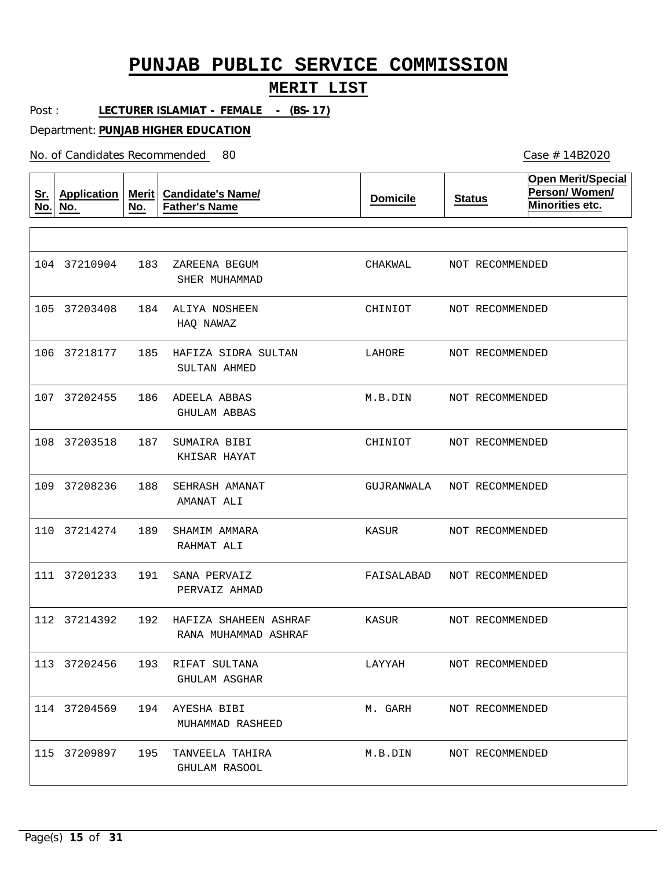### **MERIT LIST**

Post : **LECTURER ISLAMIAT - FEMALE - (BS-17)**

Department: **PUNJAB HIGHER EDUCATION**

No. of Candidates Recommended

| <u>Sr.</u><br>No. | <b>Application</b><br>No. | Merit<br>No. | <b>Candidate's Name/</b><br><b>Father's Name</b> | <b>Domicile</b> | <b>Status</b>   | <b>Open Merit/Special</b><br>Person/Women/<br>Minorities etc. |
|-------------------|---------------------------|--------------|--------------------------------------------------|-----------------|-----------------|---------------------------------------------------------------|
|                   |                           |              |                                                  |                 |                 |                                                               |
|                   | 104 37210904              | 183          | ZAREENA BEGUM<br>SHER MUHAMMAD                   | CHAKWAL         | NOT RECOMMENDED |                                                               |
| 105               | 37203408                  | 184          | ALIYA NOSHEEN<br>HAQ NAWAZ                       | CHINIOT         | NOT RECOMMENDED |                                                               |
|                   | 106 37218177              | 185          | HAFIZA SIDRA SULTAN<br>SULTAN AHMED              | LAHORE          | NOT RECOMMENDED |                                                               |
|                   | 107 37202455              | 186          | ADEELA ABBAS<br><b>GHULAM ABBAS</b>              | M.B.DIN         | NOT RECOMMENDED |                                                               |
| 108               | 37203518                  | 187          | SUMAIRA BIBI<br>KHISAR HAYAT                     | CHINIOT         | NOT RECOMMENDED |                                                               |
| 109               | 37208236                  | 188          | SEHRASH AMANAT<br>AMANAT ALI                     | GUJRANWALA      | NOT RECOMMENDED |                                                               |
| 110               | 37214274                  | 189          | SHAMIM AMMARA<br>RAHMAT ALI                      | KASUR           | NOT RECOMMENDED |                                                               |
|                   | 111 37201233              | 191          | SANA PERVAIZ<br>PERVAIZ AHMAD                    | FAISALABAD      | NOT RECOMMENDED |                                                               |
|                   | 112 37214392              | 192          | HAFIZA SHAHEEN ASHRAF<br>RANA MUHAMMAD ASHRAF    | KASUR           | NOT RECOMMENDED |                                                               |
|                   | 113 37202456              | 193          | RIFAT SULTANA<br>GHULAM ASGHAR                   | LAYYAH          | NOT RECOMMENDED |                                                               |
|                   | 114 37204569              | 194          | AYESHA BIBI<br>MUHAMMAD RASHEED                  | M. GARH         | NOT RECOMMENDED |                                                               |
|                   | 115 37209897              | 195          | TANVEELA TAHIRA<br>GHULAM RASOOL                 | M.B.DIN         | NOT RECOMMENDED |                                                               |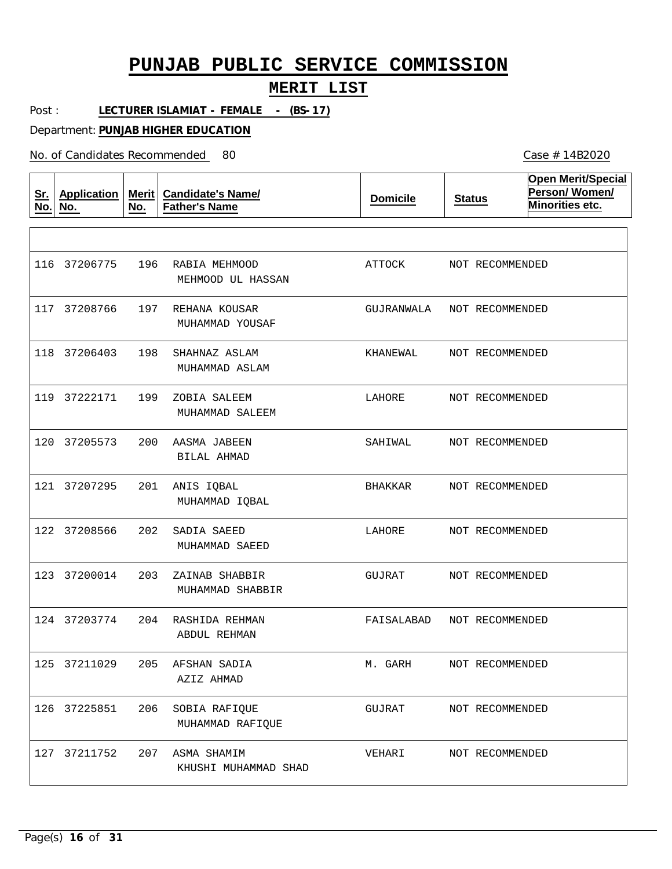#### **MERIT LIST**

Post : LECTURER ISLAMIAT - FEMALE - (BS-17)

Department: **PUNJAB HIGHER EDUCATION**

No. of Candidates Recommended

**Sr. No. Application No. Merit No. Candidate's Name/ Father's Name Domicile Status Open Merit/Special Person/ Women/ Minorities etc.** 196 RABIA MEHMOOD 197 REHANA KOUSAR 198 199 200 AASMA JABEEN 120 37205573 201 ANIS IQBAL 202 SADIA SAEED 203 204 RASHIDA REHMAN 205 AFSHAN SADIA 206 SOBIA RAFIQUE 207 ASMA SHAMIM SHAHNAZ ASLAM ZOBIA SALEEM ZAINAB SHABBIR MEHMOOD UL HASSAN MUHAMMAD YOUSAF MUHAMMAD ASLAM MUHAMMAD SALEEM BILAL AHMAD MUHAMMAD IQBAL MUHAMMAD SAEED MUHAMMAD SHABBIR ABDUL REHMAN AZIZ AHMAD MUHAMMAD RAFIQUE KHUSHI MUHAMMAD SHAD 116 37206775 117 37208766 118 37206403 119 37222171 121 37207295 122 37208566 123 37200014 124 37203774 125 37211029 126 37225851 127 37211752 ATTOCK GUJRANWALA NOT RECOMMENDED KHANEWAL LAHORE SAHIWAL BHAKKAR LAHORE GUJRAT FAISALABAD M. GARH GUJRAT VEHARI NOT RECOMMENDED NOT RECOMMENDED NOT RECOMMENDED NOT RECOMMENDED NOT RECOMMENDED NOT RECOMMENDED NOT RECOMMENDED NOT RECOMMENDED NOT RECOMMENDED NOT RECOMMENDED NOT RECOMMENDED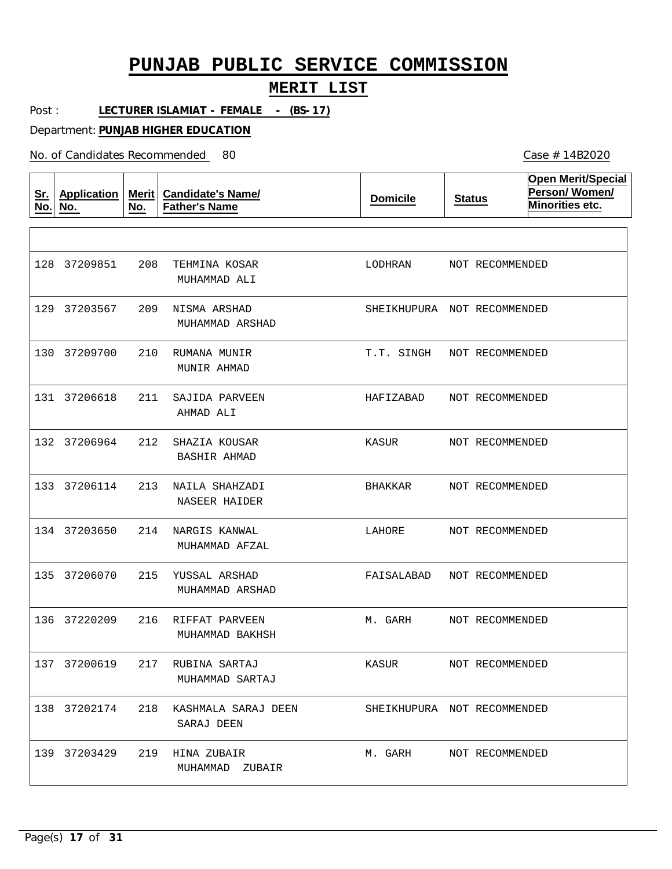### **MERIT LIST**

Post : LECTURER ISLAMIAT - FEMALE - (BS-17)

Department: **PUNJAB HIGHER EDUCATION**

| <u>Sr.</u><br>No. | <b>Application</b><br>No. | <b>Merit</b><br>No. | <b>Candidate's Name/</b><br><b>Father's Name</b> | <b>Domicile</b>             | <b>Status</b> |                 | <b>Open Merit/Special</b><br>Person/Women/<br>Minorities etc. |
|-------------------|---------------------------|---------------------|--------------------------------------------------|-----------------------------|---------------|-----------------|---------------------------------------------------------------|
|                   |                           |                     |                                                  |                             |               |                 |                                                               |
|                   | 128 37209851              | 208                 | TEHMINA KOSAR<br>MUHAMMAD ALI                    | LODHRAN                     |               | NOT RECOMMENDED |                                                               |
| 129               | 37203567                  | 209                 | NISMA ARSHAD<br>MUHAMMAD ARSHAD                  | SHEIKHUPURA NOT RECOMMENDED |               |                 |                                                               |
| 130               | 37209700                  | 210                 | RUMANA MUNIR<br>MUNIR AHMAD                      | T.T. SINGH                  |               | NOT RECOMMENDED |                                                               |
|                   | 131 37206618              | 211                 | SAJIDA PARVEEN<br>AHMAD ALI                      | HAFIZABAD                   |               | NOT RECOMMENDED |                                                               |
|                   | 132 37206964              | 212                 | SHAZIA KOUSAR<br><b>BASHIR AHMAD</b>             | KASUR                       |               | NOT RECOMMENDED |                                                               |
|                   | 133 37206114              | 213                 | NAILA SHAHZADI<br>NASEER HAIDER                  | BHAKKAR                     |               | NOT RECOMMENDED |                                                               |
|                   | 134 37203650              | 214                 | NARGIS KANWAL<br>MUHAMMAD AFZAL                  | LAHORE                      |               | NOT RECOMMENDED |                                                               |
|                   | 135 37206070              | 215                 | YUSSAL ARSHAD<br>MUHAMMAD ARSHAD                 | FAISALABAD                  |               | NOT RECOMMENDED |                                                               |
|                   | 136 37220209              | 216                 | RIFFAT PARVEEN<br>MUHAMMAD BAKHSH                | M. GARH                     |               | NOT RECOMMENDED |                                                               |
|                   | 137 37200619              | 217                 | RUBINA SARTAJ<br>MUHAMMAD SARTAJ                 | KASUR                       |               | NOT RECOMMENDED |                                                               |
|                   | 138 37202174              |                     | 218 KASHMALA SARAJ DEEN<br>SARAJ DEEN            | SHEIKHUPURA NOT RECOMMENDED |               |                 |                                                               |
|                   | 139 37203429              |                     | 219 HINA ZUBAIR<br>MUHAMMAD ZUBAIR               | M. GARH                     |               | NOT RECOMMENDED |                                                               |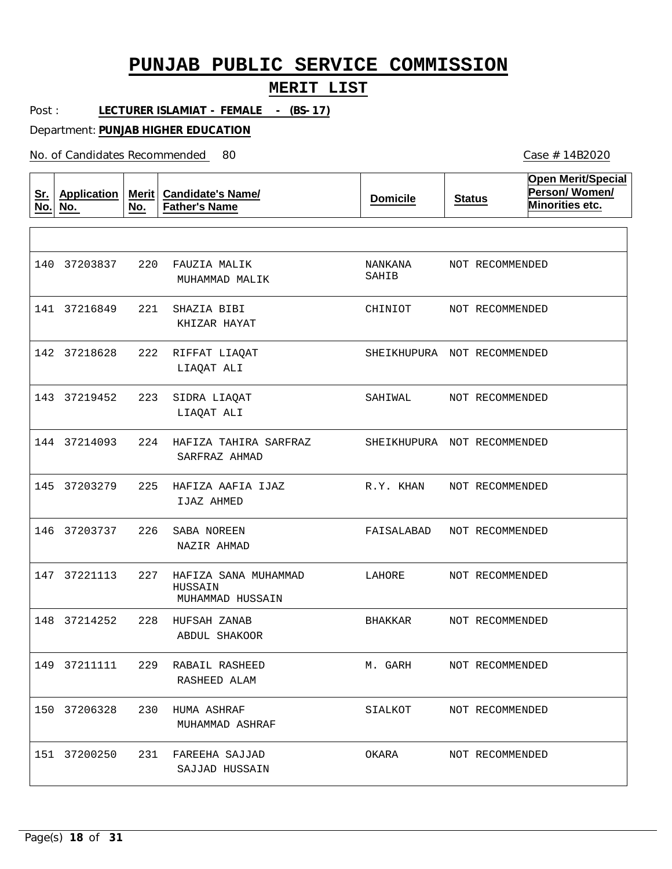### **MERIT LIST**

Case # 14B2020

Post : LECTURER ISLAMIAT - FEMALE - (BS-17)

Department: **PUNJAB HIGHER EDUCATION**

| <u>Sr.</u><br>No. | <b>Application</b><br>No. | Merit $ $<br>No. | <b>Candidate's Name/</b><br><b>Father's Name</b>    | <b>Domicile</b>             | <b>Status</b>   | <b>Open Merit/Special</b><br>Person/Women/<br>Minorities etc. |
|-------------------|---------------------------|------------------|-----------------------------------------------------|-----------------------------|-----------------|---------------------------------------------------------------|
|                   |                           |                  |                                                     |                             |                 |                                                               |
|                   | 140 37203837              | 220              | FAUZIA MALIK<br>MUHAMMAD MALIK                      | NANKANA<br>SAHIB            | NOT RECOMMENDED |                                                               |
|                   | 141 37216849              | 221              | SHAZIA BIBI<br>KHIZAR HAYAT                         | CHINIOT                     | NOT RECOMMENDED |                                                               |
|                   | 142 37218628              | 222              | RIFFAT LIAQAT<br>LIAQAT ALI                         | SHEIKHUPURA NOT RECOMMENDED |                 |                                                               |
|                   | 143 37219452              | 223              | SIDRA LIAQAT<br>LIAQAT ALI                          | SAHIWAL                     | NOT RECOMMENDED |                                                               |
|                   | 144 37214093              | 224              | HAFIZA TAHIRA SARFRAZ<br>SARFRAZ AHMAD              | SHEIKHUPURA NOT RECOMMENDED |                 |                                                               |
|                   | 145 37203279              | 225              | HAFIZA AAFIA IJAZ<br>IJAZ AHMED                     | R.Y. KHAN                   | NOT RECOMMENDED |                                                               |
|                   | 146 37203737              | 226              | SABA NOREEN<br>NAZIR AHMAD                          | FAISALABAD                  | NOT RECOMMENDED |                                                               |
|                   | 147 37221113              | 227              | HAFIZA SANA MUHAMMAD<br>HUSSAIN<br>MUHAMMAD HUSSAIN | LAHORE                      | NOT RECOMMENDED |                                                               |
|                   | 148 37214252              | 228              | HUFSAH ZANAB<br>ABDUL SHAKOOR                       | BHAKKAR                     | NOT RECOMMENDED |                                                               |
|                   | 149 37211111              | 229              | RABAIL RASHEED<br>RASHEED ALAM                      | M. GARH                     | NOT RECOMMENDED |                                                               |
|                   | 150 37206328              | 230              | HUMA ASHRAF<br>MUHAMMAD ASHRAF                      | SIALKOT                     | NOT RECOMMENDED |                                                               |
|                   | 151 37200250              |                  | 231 FAREEHA SAJJAD<br>SAJJAD HUSSAIN                | OKARA                       | NOT RECOMMENDED |                                                               |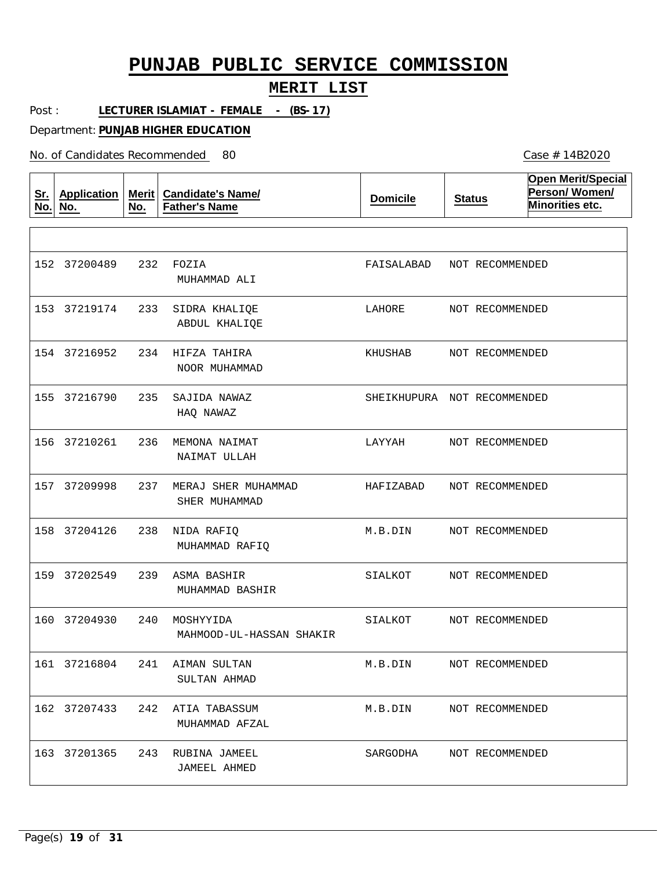#### **MERIT LIST**

Post : LECTURER ISLAMIAT - FEMALE - (BS-17)

Department: **PUNJAB HIGHER EDUCATION**

No. of Candidates Recommended

**Sr. No. Application No. Merit No. Candidate's Name/ Father's Name Domicile Status Open Merit/Special Person/ Women/ Minorities etc.** 232 FOZIA 233 SIDRA KHALIQE 234 HIFZA TAHIRA 235 SAJIDA NAWAZ 236 MEMONA NAIMAT 237 MERAJ SHER MUHAMMAD 238 NIDA RAFIQ 239 ASMA BASHIR 240 MOSHYYIDA 241 AIMAN SULTAN 242 ATIA TABASSUM 162 37207433 243 RUBINA JAMEEL MUHAMMAD ALI ABDUL KHALIQE NOOR MUHAMMAD HAQ NAWAZ NAIMAT ULLAH SHER MUHAMMAD MUHAMMAD RAFIQ MUHAMMAD BASHIR MAHMOOD-UL-HASSAN SHAKIR SULTAN AHMAD MUHAMMAD AFZAL JAMEEL AHMED 152 37200489 153 37219174 154 37216952 155 37216790 156 37210261 157 37209998 158 37204126 159 37202549 160 37204930 161 37216804 163 37201365 FAISALABAD NOT RECOMMENDED LAHORE KHUSHAB SHEIKHUPURA NOT RECOMMENDED LAYYAH HAFIZABAD M.B.DIN SIALKOT SIALKOT M.B.DIN M.B.DIN SARGODHA NOT RECOMMENDED NOT RECOMMENDED NOT RECOMMENDED NOT RECOMMENDED NOT RECOMMENDED NOT RECOMMENDED NOT RECOMMENDED NOT RECOMMENDED NOT RECOMMENDED NOT RECOMMENDED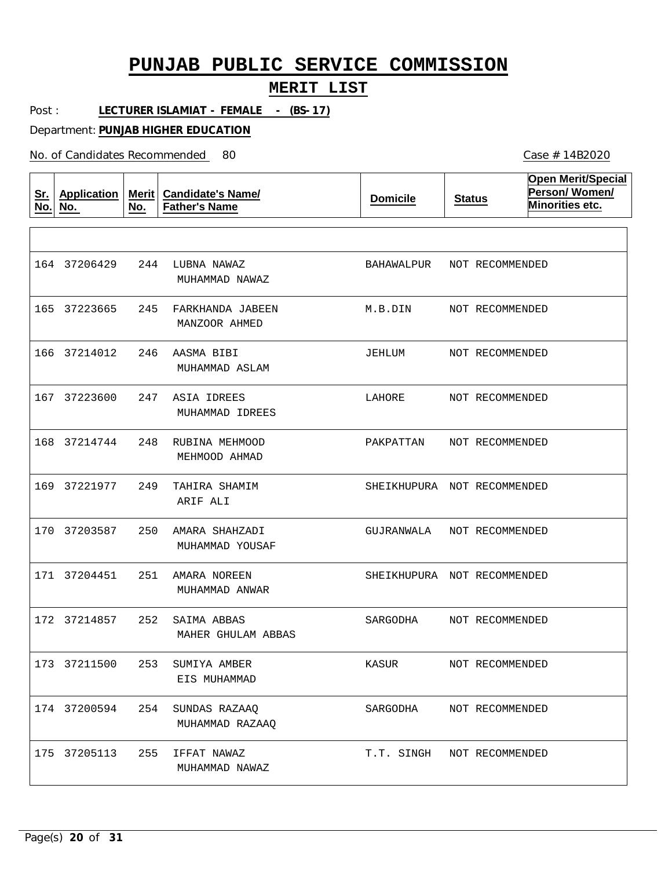### **MERIT LIST**

Post : LECTURER ISLAMIAT - FEMALE - (BS-17)

Department: **PUNJAB HIGHER EDUCATION**

No. of Candidates Recommended

| <u>Sr.</u><br>No. | <b>Application</b><br>No. | Merit<br>No. | <b>Candidate's Name/</b><br><b>Father's Name</b> | <b>Domicile</b>             | <b>Status</b>   | <b>Open Merit/Special</b><br>Person/Women/<br>Minorities etc. |
|-------------------|---------------------------|--------------|--------------------------------------------------|-----------------------------|-----------------|---------------------------------------------------------------|
|                   |                           |              |                                                  |                             |                 |                                                               |
|                   | 164 37206429              | 244          | LUBNA NAWAZ<br>MUHAMMAD NAWAZ                    | BAHAWALPUR                  | NOT RECOMMENDED |                                                               |
| 165               | 37223665                  | 245          | FARKHANDA JABEEN<br>MANZOOR AHMED                | M.B.DIN                     | NOT RECOMMENDED |                                                               |
|                   | 166 37214012              | 246          | AASMA BIBI<br>MUHAMMAD ASLAM                     | JEHLUM                      | NOT RECOMMENDED |                                                               |
|                   | 167 37223600              | 247          | ASIA IDREES<br>MUHAMMAD IDREES                   | LAHORE                      | NOT RECOMMENDED |                                                               |
|                   | 168 37214744              | 248          | RUBINA MEHMOOD<br>MEHMOOD AHMAD                  | PAKPATTAN                   | NOT RECOMMENDED |                                                               |
|                   | 169 37221977              | 249          | TAHIRA SHAMIM<br>ARIF ALI                        | SHEIKHUPURA NOT RECOMMENDED |                 |                                                               |
|                   | 170 37203587              | 250          | AMARA SHAHZADI<br>MUHAMMAD YOUSAF                | GUJRANWALA                  | NOT RECOMMENDED |                                                               |
|                   | 171 37204451              | 251          | AMARA NOREEN<br>MUHAMMAD ANWAR                   | SHEIKHUPURA NOT RECOMMENDED |                 |                                                               |
|                   | 172 37214857              | 252          | SAIMA ABBAS<br>MAHER GHULAM ABBAS                | SARGODHA                    | NOT RECOMMENDED |                                                               |
|                   | 173 37211500              | 253          | SUMIYA AMBER<br>EIS MUHAMMAD                     | KASUR                       | NOT RECOMMENDED |                                                               |
|                   | 174 37200594              | 254          | SUNDAS RAZAAQ<br>MUHAMMAD RAZAAQ                 | SARGODHA                    | NOT RECOMMENDED |                                                               |
|                   | 175 37205113              | 255          | IFFAT NAWAZ<br>MUHAMMAD NAWAZ                    | T.T. SINGH                  | NOT RECOMMENDED |                                                               |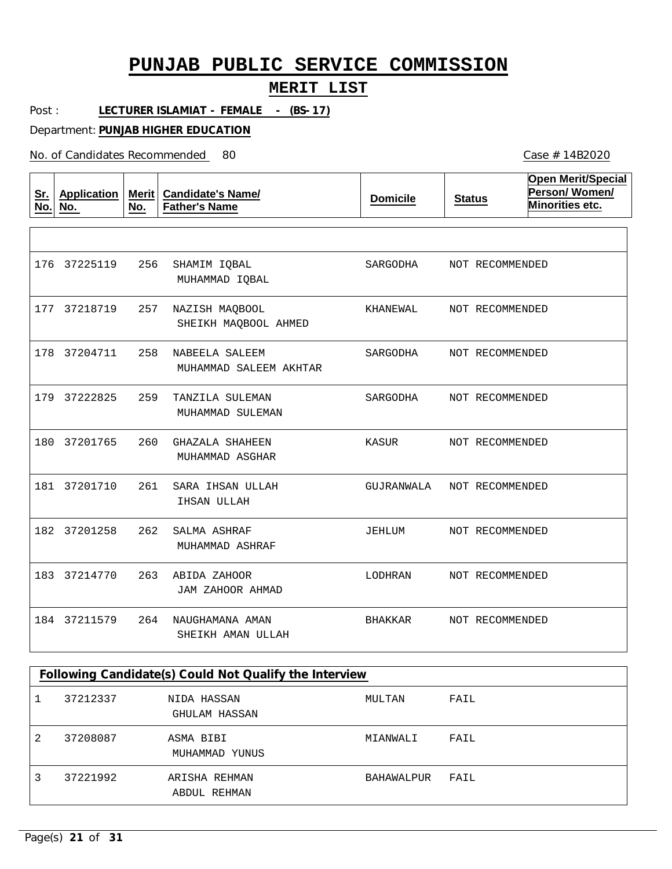### **MERIT LIST**

Post : **LECTURER ISLAMIAT - FEMALE - (BS-17)**

Department: **PUNJAB HIGHER EDUCATION**

No. of Candidates Recommended

| <u>Sr.</u><br>No. | <b>Application</b><br>No. | <b>Merit</b><br>No. | <b>Candidate's Name/</b><br><b>Father's Name</b> | <b>Domicile</b> | <b>Status</b>   | <b>Open Merit/Special</b><br>Person/Women/<br>Minorities etc. |
|-------------------|---------------------------|---------------------|--------------------------------------------------|-----------------|-----------------|---------------------------------------------------------------|
|                   |                           |                     |                                                  |                 |                 |                                                               |
| 176               | 37225119                  | 256                 | SHAMIM IQBAL<br>MUHAMMAD IQBAL                   | SARGODHA        | NOT RECOMMENDED |                                                               |
| 177               | 37218719                  | 257                 | NAZISH MAQBOOL<br>SHEIKH MAQBOOL AHMED           | KHANEWAL        | NOT RECOMMENDED |                                                               |
| 178               | 37204711                  | 258                 | NABEELA SALEEM<br>MUHAMMAD SALEEM AKHTAR         | SARGODHA        | NOT RECOMMENDED |                                                               |
| 179               | 37222825                  | 259                 | TANZILA SULEMAN<br>MUHAMMAD SULEMAN              | SARGODHA        | NOT RECOMMENDED |                                                               |
| 180               | 37201765                  | 260                 | GHAZALA SHAHEEN<br>MUHAMMAD ASGHAR               | KASUR           | NOT RECOMMENDED |                                                               |
| 181               | 37201710                  | 261                 | SARA IHSAN ULLAH<br>IHSAN ULLAH                  | GUJRANWALA      | NOT RECOMMENDED |                                                               |
| 182               | 37201258                  | 262                 | SALMA ASHRAF<br>MUHAMMAD ASHRAF                  | JEHLUM          | NOT RECOMMENDED |                                                               |
| 183               | 37214770                  | 263                 | ABIDA ZAHOOR<br>JAM ZAHOOR AHMAD                 | LODHRAN         | NOT RECOMMENDED |                                                               |
| 184               | 37211579                  | 264                 | NAUGHAMANA AMAN<br>SHEIKH AMAN ULLAH             | BHAKKAR         | NOT RECOMMENDED |                                                               |

|   | Following Candidate(s) Could Not Qualify the Interview |                               |                   |      |  |  |  |  |
|---|--------------------------------------------------------|-------------------------------|-------------------|------|--|--|--|--|
|   | 37212337                                               | NIDA HASSAN<br>GHULAM HASSAN  | MULTAN            | FAIL |  |  |  |  |
| 2 | 37208087                                               | ASMA BIBI<br>MUHAMMAD YUNUS   | MIANWALI          | FAIL |  |  |  |  |
| 3 | 37221992                                               | ARISHA REHMAN<br>ABDUL REHMAN | <b>BAHAWALPUR</b> | FAIL |  |  |  |  |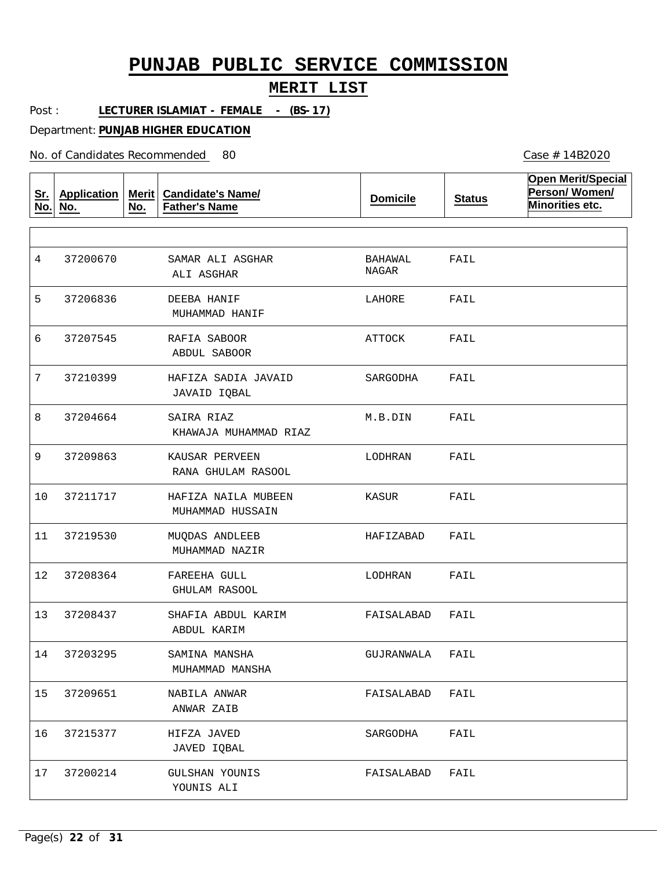### **MERIT LIST**

Post : **LECTURER ISLAMIAT - FEMALE - (BS-17)**

Department: **PUNJAB HIGHER EDUCATION**

| <u>Sr.</u><br>No. | <b>Application</b><br>No. | Merit $ $<br>No. | <b>Candidate's Name/</b><br><b>Father's Name</b> | <b>Domicile</b>  | <b>Status</b> | <b>Open Merit/Special</b><br>Person/Women/<br>Minorities etc. |
|-------------------|---------------------------|------------------|--------------------------------------------------|------------------|---------------|---------------------------------------------------------------|
|                   |                           |                  |                                                  |                  |               |                                                               |
| 4                 | 37200670                  |                  | SAMAR ALI ASGHAR<br>ALI ASGHAR                   | BAHAWAL<br>NAGAR | FAIL          |                                                               |
| 5                 | 37206836                  |                  | DEEBA HANIF<br>MUHAMMAD HANIF                    | LAHORE           | FAIL          |                                                               |
| 6                 | 37207545                  |                  | RAFIA SABOOR<br>ABDUL SABOOR                     | ATTOCK           | FAIL          |                                                               |
| 7                 | 37210399                  |                  | HAFIZA SADIA JAVAID<br>JAVAID IQBAL              | SARGODHA         | FAIL          |                                                               |
| 8                 | 37204664                  |                  | SAIRA RIAZ<br>KHAWAJA MUHAMMAD RIAZ              | M.B.DIN          | FAIL          |                                                               |
| 9                 | 37209863                  |                  | KAUSAR PERVEEN<br>RANA GHULAM RASOOL             | LODHRAN          | FAIL          |                                                               |
| 10                | 37211717                  |                  | HAFIZA NAILA MUBEEN<br>MUHAMMAD HUSSAIN          | KASUR            | FAIL          |                                                               |
| 11                | 37219530                  |                  | MUQDAS ANDLEEB<br>MUHAMMAD NAZIR                 | HAFIZABAD        | FAIL          |                                                               |
| 12                | 37208364                  |                  | FAREEHA GULL<br>GHULAM RASOOL                    | LODHRAN          | FAIL          |                                                               |
| 13                | 37208437                  |                  | SHAFIA ABDUL KARIM<br>ABDUL KARIM                | FAISALABAD       | FAIL          |                                                               |
| 14                | 37203295                  |                  | SAMINA MANSHA<br>MUHAMMAD MANSHA                 | GUJRANWALA       | FAIL          |                                                               |
| 15                | 37209651                  |                  | NABILA ANWAR<br>ANWAR ZAIB                       | FAISALABAD       | FAIL          |                                                               |
| 16                | 37215377                  |                  | HIFZA JAVED<br>JAVED IQBAL                       | SARGODHA         | FAIL          |                                                               |
| 17                | 37200214                  |                  | GULSHAN YOUNIS<br>YOUNIS ALI                     | FAISALABAD       | FAIL          |                                                               |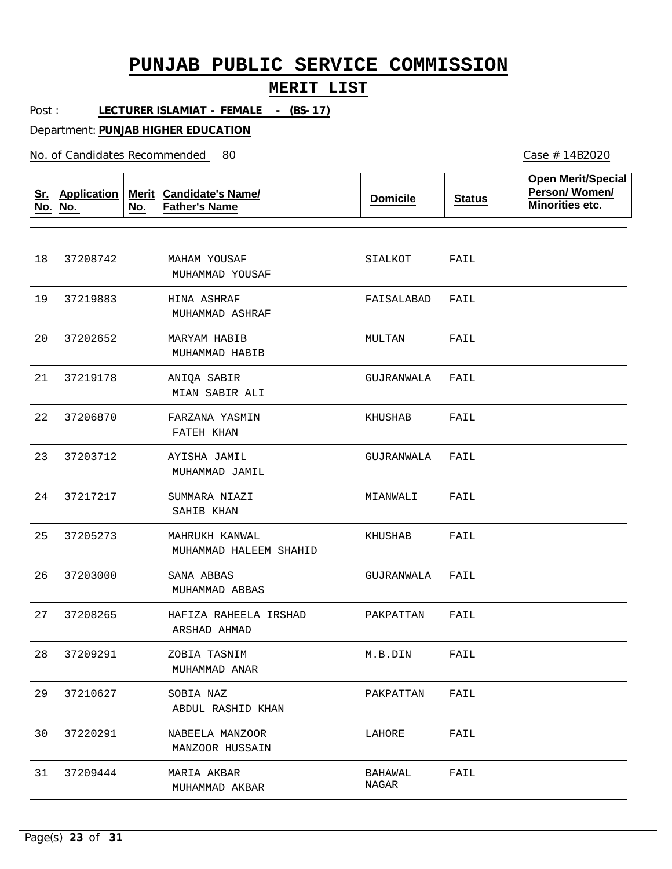#### **MERIT LIST**

Post : LECTURER ISLAMIAT - FEMALE - (BS-17)

Department: **PUNJAB HIGHER EDUCATION**

No. of Candidates Recommended

**Sr. No. Application No. Merit No. Candidate's Name/ Father's Name Domicile Status Open Merit/Special Person/ Women/ Minorities etc.** MAHAM YOUSAF HINA ASHRAF MARYAM HABIB ANIQA SABIR FARZANA YASMIN AYISHA JAMIL SUMMARA NIAZI MAHRUKH KANWAL SANA ABBAS HAFIZA RAHEELA IRSHAD ZOBIA TASNIM SOBIA NAZ NABEELA MANZOOR MARIA AKBAR MUHAMMAD YOUSAF MUHAMMAD ASHRAF MUHAMMAD HABIB MIAN SABIR ALI FATEH KHAN MUHAMMAD JAMIL SAHIB KHAN MUHAMMAD HALEEM SHAHID MUHAMMAD ABBAS ARSHAD AHMAD MUHAMMAD ANAR ABDUL RASHID KHAN MANZOOR HUSSAIN MUHAMMAD AKBAR 18 19 20 21 22 23 24 25 26 27 28 29 30 31 37208742 37219883 37202652 37219178 37206870 37203712 37217217 37205273 37203000 37208265 37209291 37210627 37220291 37209444 SIALKOT FAISALABAD MULTAN GUJRANWALA KHUSHAB GUJRANWALA MIANWALI KHUSHAB GUJRANWALA PAKPATTAN M.B.DIN PAKPATTAN LAHORE BAHAWAL NAGAR FAIL FAIL FAIL FAIL FAIL FAIL FAIL FAIL FAIL FAIL FAIL FAIL FAIL FAIL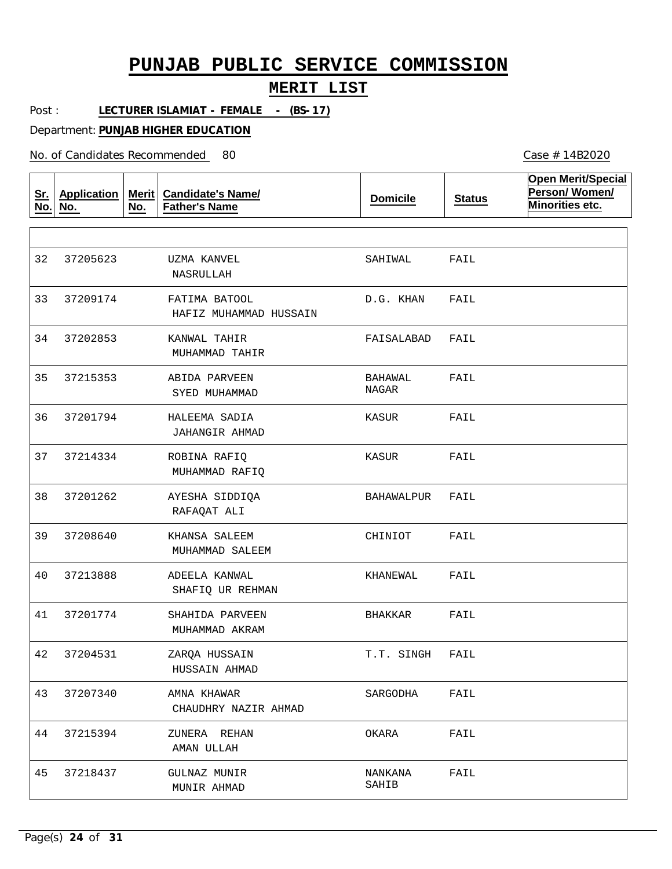### **MERIT LIST**

Post : LECTURER ISLAMIAT - FEMALE - (BS-17)

Department: **PUNJAB HIGHER EDUCATION**

No. of Candidates Recommended

| <u>Sr.</u><br>No. | <b>Application</b><br>No. | Merit $ $<br>No. | <b>Candidate's Name/</b><br><b>Father's Name</b> | <b>Domicile</b>  | <b>Status</b> | <b>Open Merit/Special</b><br>Person/Women/<br>Minorities etc. |
|-------------------|---------------------------|------------------|--------------------------------------------------|------------------|---------------|---------------------------------------------------------------|
|                   |                           |                  |                                                  |                  |               |                                                               |
| 32                | 37205623                  |                  | UZMA KANVEL<br>NASRULLAH                         | SAHIWAL          | FAIL          |                                                               |
| 33                | 37209174                  |                  | FATIMA BATOOL<br>HAFIZ MUHAMMAD HUSSAIN          | D.G. KHAN        | FAIL          |                                                               |
| 34                | 37202853                  |                  | KANWAL TAHIR<br>MUHAMMAD TAHIR                   | FAISALABAD       | FAIL          |                                                               |
| 35                | 37215353                  |                  | ABIDA PARVEEN<br>SYED MUHAMMAD                   | BAHAWAL<br>NAGAR | FAIL          |                                                               |
| 36                | 37201794                  |                  | HALEEMA SADIA<br>JAHANGIR AHMAD                  | KASUR            | FAIL          |                                                               |
| 37                | 37214334                  |                  | ROBINA RAFIQ<br>MUHAMMAD RAFIQ                   | KASUR            | FAIL          |                                                               |
| 38                | 37201262                  |                  | AYESHA SIDDIQA<br>RAFAQAT ALI                    | BAHAWALPUR       | FAIL          |                                                               |
| 39                | 37208640                  |                  | KHANSA SALEEM<br>MUHAMMAD SALEEM                 | CHINIOT          | FAIL          |                                                               |
| 40                | 37213888                  |                  | ADEELA KANWAL<br>SHAFIQ UR REHMAN                | KHANEWAL         | FAIL          |                                                               |
| 41                | 37201774                  |                  | SHAHIDA PARVEEN<br>MUHAMMAD AKRAM                | BHAKKAR          | FAIL          |                                                               |
| 42                | 37204531                  |                  | ZARQA HUSSAIN<br>HUSSAIN AHMAD                   | T.T. SINGH       | FAIL          |                                                               |
| 43                | 37207340                  |                  | AMNA KHAWAR<br>CHAUDHRY NAZIR AHMAD              | SARGODHA         | FAIL          |                                                               |
| 44                | 37215394                  |                  | ZUNERA REHAN<br>AMAN ULLAH                       | OKARA            | FAIL          |                                                               |
| 45                | 37218437                  |                  | GULNAZ MUNIR<br>MUNIR AHMAD                      | NANKANA<br>SAHIB | FAIL          |                                                               |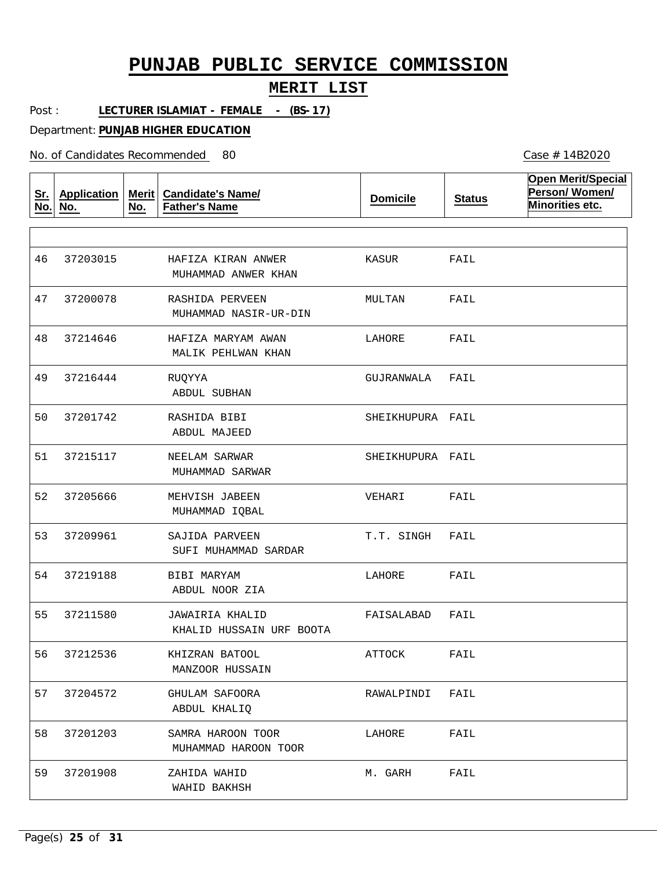### **MERIT LIST**

Post : **LECTURER ISLAMIAT - FEMALE - (BS-17)**

Department: **PUNJAB HIGHER EDUCATION**

| <u>Sr.</u><br>No. | <b>Application</b><br>No. | No. | Merit   Candidate's Name/<br><b>Father's Name</b>  | <b>Domicile</b>  | <b>Status</b> | <b>Open Merit/Special</b><br>Person/Women/<br>Minorities etc. |
|-------------------|---------------------------|-----|----------------------------------------------------|------------------|---------------|---------------------------------------------------------------|
|                   |                           |     |                                                    |                  |               |                                                               |
| 46                | 37203015                  |     | HAFIZA KIRAN ANWER<br>MUHAMMAD ANWER KHAN          | KASUR            | FAIL          |                                                               |
| 47                | 37200078                  |     | RASHIDA PERVEEN<br>MUHAMMAD NASIR-UR-DIN           | MULTAN           | FAIL          |                                                               |
| 48                | 37214646                  |     | HAFIZA MARYAM AWAN<br>MALIK PEHLWAN KHAN           | LAHORE           | FAIL          |                                                               |
| 49                | 37216444                  |     | RUQYYA<br>ABDUL SUBHAN                             | GUJRANWALA       | FAIL          |                                                               |
| 50                | 37201742                  |     | RASHIDA BIBI<br><b>ABDUL MAJEED</b>                | SHEIKHUPURA FAIL |               |                                                               |
| 51                | 37215117                  |     | NEELAM SARWAR<br>MUHAMMAD SARWAR                   | SHEIKHUPURA FAIL |               |                                                               |
| 52                | 37205666                  |     | MEHVISH JABEEN<br>MUHAMMAD IQBAL                   | VEHARI           | FAIL          |                                                               |
| 53                | 37209961                  |     | SAJIDA PARVEEN<br>SUFI MUHAMMAD SARDAR             | T.T. SINGH       | FAIL          |                                                               |
| 54                | 37219188                  |     | BIBI MARYAM<br>ABDUL NOOR ZIA                      | LAHORE           | FAIL          |                                                               |
| 55                | 37211580                  |     | <b>JAWAIRIA KHALID</b><br>KHALID HUSSAIN URF BOOTA | FAISALABAD       | FAIL          |                                                               |
| 56                | 37212536                  |     | KHIZRAN BATOOL<br>MANZOOR HUSSAIN                  | ATTOCK           | FAIL          |                                                               |
| 57                | 37204572                  |     | <b>GHULAM SAFOORA</b><br>ABDUL KHALIQ              | RAWALPINDI       | FAIL          |                                                               |
| 58                | 37201203                  |     | SAMRA HAROON TOOR<br>MUHAMMAD HAROON TOOR          | LAHORE           | FAIL          |                                                               |
| 59                | 37201908                  |     | ZAHIDA WAHID<br>WAHID BAKHSH                       | M. GARH          | FAIL          |                                                               |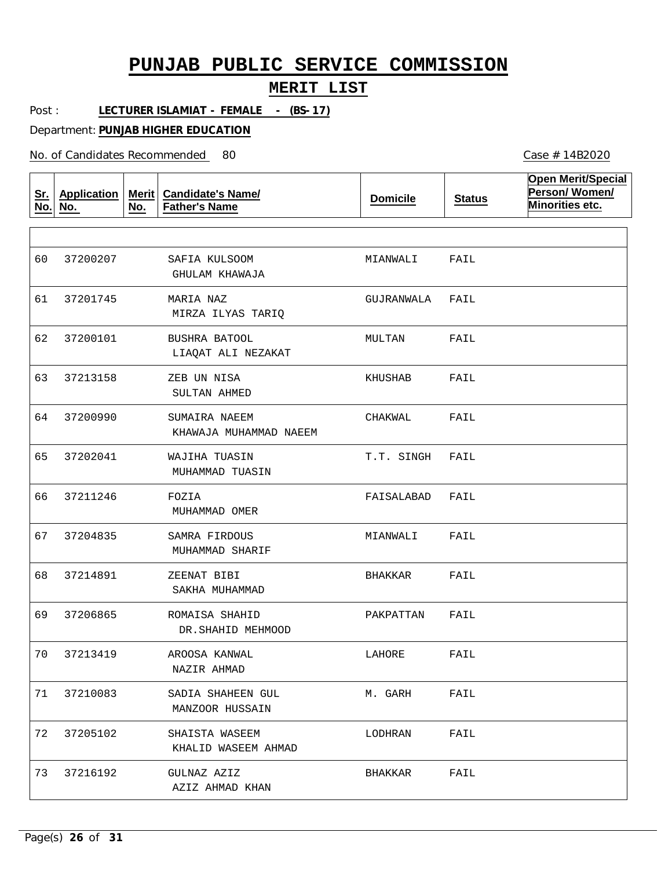#### **MERIT LIST**

Post : LECTURER ISLAMIAT - FEMALE - (BS-17)

Department: **PUNJAB HIGHER EDUCATION**

No. of Candidates Recommended

**Sr. No. Application No. Merit No. Candidate's Name/ Father's Name Domicile Status Open Merit/Special Person/ Women/ Minorities etc.** SAFIA KULSOOM MARIA NAZ BUSHRA BATOOL ZEB UN NISA SUMAIRA NAEEM WAJIHA TUASIN FOZIA SAMRA FIRDOUS ZEENAT BIBI ROMAISA SHAHID AROOSA KANWAL SADIA SHAHEEN GUL SHAISTA WASEEM GULNAZ AZIZ GHULAM KHAWAJA MIRZA ILYAS TARIQ LIAQAT ALI NEZAKAT SULTAN AHMED KHAWAJA MUHAMMAD NAEEM MUHAMMAD TUASIN MUHAMMAD OMER MUHAMMAD SHARIF SAKHA MUHAMMAD DR.SHAHID MEHMOOD NAZIR AHMAD MANZOOR HUSSAIN KHALID WASEEM AHMAD AZIZ AHMAD KHAN 60 61 62 37200101 63 37213158 64 65 66 67 68 69 70 71 72 37205102 73 37200207 37201745 37200990 37202041 37211246 37204835 37214891 37206865 37213419 37210083 37216192 MIANWALI GUJRANWALA MULTAN KHUSHAB CHAKWAL T.T. SINGH FAISALABAD MIANWALI BHAKKAR PAKPATTAN LAHORE M. GARH LODHRAN BHAKKAR FAIL FAIL FAIL FAIL FAIL FAIL FAIL FAIL FAIL FAIL FAIL FAIL FAIL FAIL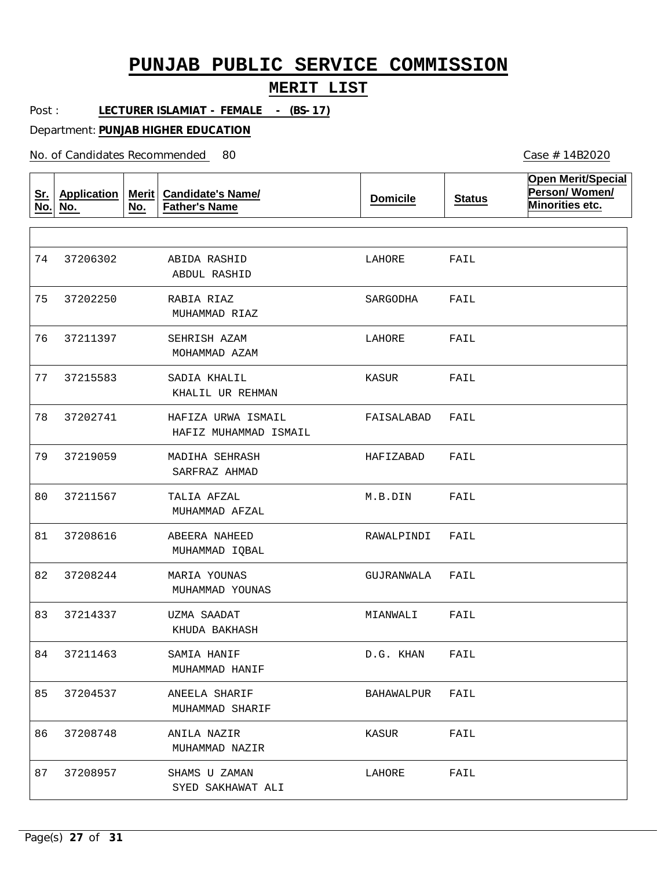### **MERIT LIST**

Post : **LECTURER ISLAMIAT - FEMALE - (BS-17)**

Department: **PUNJAB HIGHER EDUCATION**

No. of Candidates Recommended

| <u>Sr.</u><br>No. | <b>Application</b><br>No. | Merit<br>No. | <b>Candidate's Name/</b><br><b>Father's Name</b> | <b>Domicile</b> | <b>Status</b> | <b>Open Merit/Special</b><br>Person/Women/<br>Minorities etc. |
|-------------------|---------------------------|--------------|--------------------------------------------------|-----------------|---------------|---------------------------------------------------------------|
|                   |                           |              |                                                  |                 |               |                                                               |
| 74                | 37206302                  |              | ABIDA RASHID<br>ABDUL RASHID                     | LAHORE          | FAIL          |                                                               |
| 75                | 37202250                  |              | RABIA RIAZ<br>MUHAMMAD RIAZ                      | SARGODHA        | FAIL          |                                                               |
| 76                | 37211397                  |              | SEHRISH AZAM<br>MOHAMMAD AZAM                    | LAHORE          | FAIL          |                                                               |
| 77                | 37215583                  |              | SADIA KHALIL<br>KHALIL UR REHMAN                 | KASUR           | FAIL          |                                                               |
| 78                | 37202741                  |              | HAFIZA URWA ISMAIL<br>HAFIZ MUHAMMAD ISMAIL      | FAISALABAD      | FAIL          |                                                               |
| 79                | 37219059                  |              | MADIHA SEHRASH<br>SARFRAZ AHMAD                  | HAFIZABAD       | FAIL          |                                                               |
| 80                | 37211567                  |              | TALIA AFZAL<br>MUHAMMAD AFZAL                    | M.B.DIN         | FAIL          |                                                               |
| 81                | 37208616                  |              | ABEERA NAHEED<br>MUHAMMAD IQBAL                  | RAWALPINDI      | FAIL          |                                                               |
| 82                | 37208244                  |              | MARIA YOUNAS<br>MUHAMMAD YOUNAS                  | GUJRANWALA      | FAIL          |                                                               |
| 83                | 37214337                  |              | UZMA SAADAT<br>KHUDA BAKHASH                     | MIANWALI        | FAIL          |                                                               |
| 84                | 37211463                  |              | SAMIA HANIF<br>MUHAMMAD HANIF                    | D.G. KHAN       | FAIL          |                                                               |
| 85                | 37204537                  |              | ANEELA SHARIF<br>MUHAMMAD SHARIF                 | BAHAWALPUR      | FAIL          |                                                               |
| 86                | 37208748                  |              | ANILA NAZIR<br>MUHAMMAD NAZIR                    | KASUR           | FAIL          |                                                               |
| 87                | 37208957                  |              | SHAMS U ZAMAN<br>SYED SAKHAWAT ALI               | LAHORE          | FAIL          |                                                               |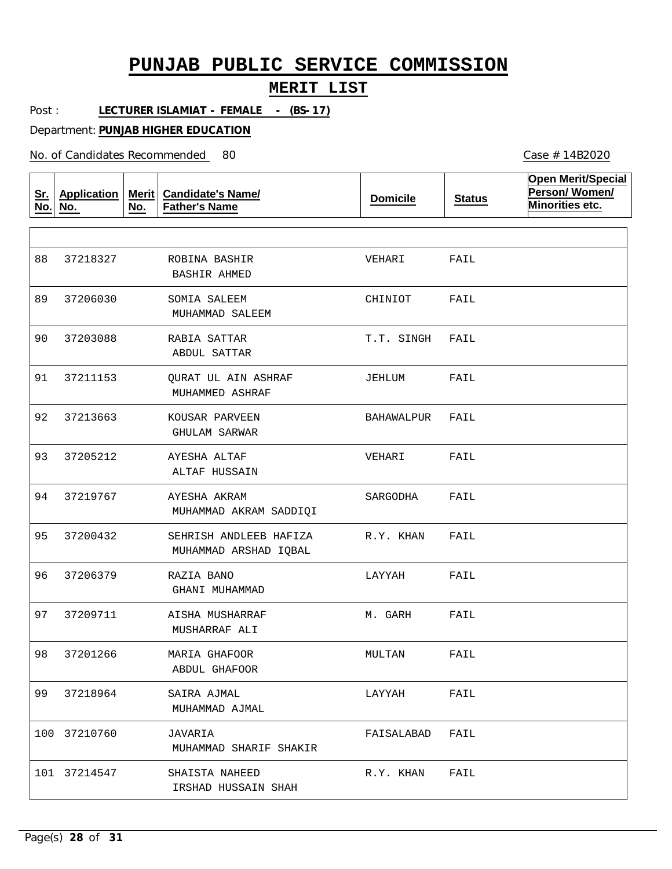### **MERIT LIST**

Post : **LECTURER ISLAMIAT - FEMALE - (BS-17)**

Department: **PUNJAB HIGHER EDUCATION**

No. of Candidates Recommended

| <u>Sr.</u><br>No. | <b>Application</b><br>No. | Merit<br>No. | <b>Candidate's Name/</b><br><b>Father's Name</b> | <b>Domicile</b> | <b>Status</b> | <b>Open Merit/Special</b><br>Person/Women/<br>Minorities etc. |
|-------------------|---------------------------|--------------|--------------------------------------------------|-----------------|---------------|---------------------------------------------------------------|
|                   |                           |              |                                                  |                 |               |                                                               |
| 88                | 37218327                  |              | ROBINA BASHIR<br><b>BASHIR AHMED</b>             | VEHARI          | FAIL          |                                                               |
| 89                | 37206030                  |              | SOMIA SALEEM<br>MUHAMMAD SALEEM                  | CHINIOT         | FAIL          |                                                               |
| 90                | 37203088                  |              | RABIA SATTAR<br>ABDUL SATTAR                     | T.T. SINGH      | FAIL          |                                                               |
| 91                | 37211153                  |              | <b>QURAT UL AIN ASHRAF</b><br>MUHAMMED ASHRAF    | JEHLUM          | FAIL          |                                                               |
| 92                | 37213663                  |              | KOUSAR PARVEEN<br>GHULAM SARWAR                  | BAHAWALPUR      | FAIL          |                                                               |
| 93                | 37205212                  |              | AYESHA ALTAF<br>ALTAF HUSSAIN                    | VEHARI          | FAIL          |                                                               |
| 94                | 37219767                  |              | AYESHA AKRAM<br>MUHAMMAD AKRAM SADDIQI           | SARGODHA        | FAIL          |                                                               |
| 95                | 37200432                  |              | SEHRISH ANDLEEB HAFIZA<br>MUHAMMAD ARSHAD IQBAL  | R.Y. KHAN       | FAIL          |                                                               |
| 96                | 37206379                  |              | RAZIA BANO<br>GHANI MUHAMMAD                     | LAYYAH          | FAIL          |                                                               |
| 97                | 37209711                  |              | AISHA MUSHARRAF<br>MUSHARRAF ALI                 | M. GARH         | FAIL          |                                                               |
| 98                | 37201266                  |              | MARIA GHAFOOR<br>ABDUL GHAFOOR                   | MULTAN          | FAIL          |                                                               |
| 99                | 37218964                  |              | SAIRA AJMAL<br>MUHAMMAD AJMAL                    | LAYYAH          | FAIL          |                                                               |
|                   | 100 37210760              |              | JAVARIA<br>MUHAMMAD SHARIF SHAKIR                | FAISALABAD      | FAIL          |                                                               |
|                   | 101 37214547              |              | SHAISTA NAHEED<br>IRSHAD HUSSAIN SHAH            | R.Y. KHAN       | FAIL          |                                                               |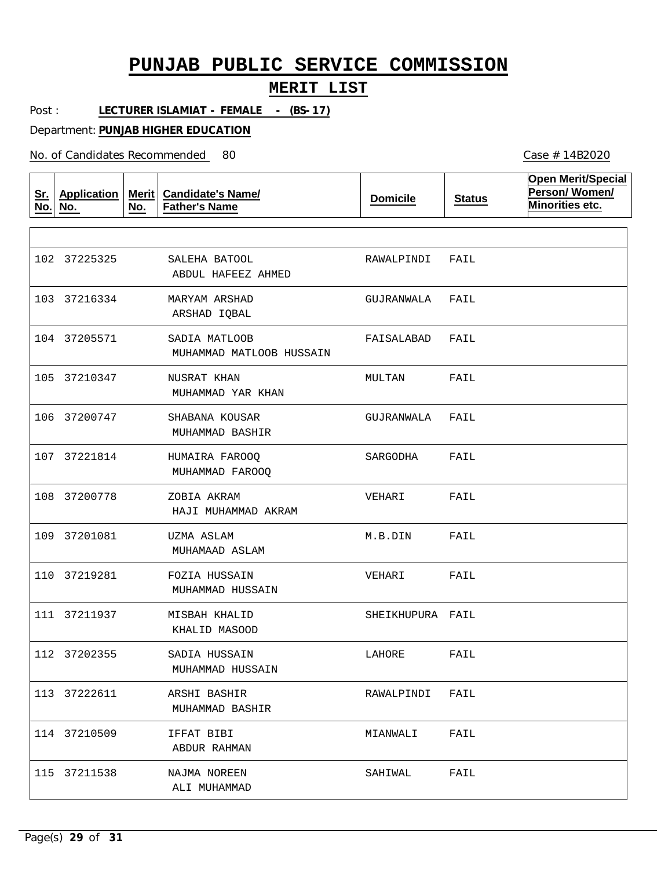#### **MERIT LIST**

Post : LECTURER ISLAMIAT - FEMALE - (BS-17)

Department: **PUNJAB HIGHER EDUCATION**

No. of Candidates Recommended

**Sr. No. No. Application Merit No. Candidate's Name/ Father's Name Domicile Status Open Merit/Special Person/ Women/ Minorities etc.** SALEHA BATOOL MARYAM ARSHAD SADIA MATLOOB NUSRAT KHAN SHABANA KOUSAR HUMAIRA FAROOQ ZOBIA AKRAM UZMA ASLAM FOZIA HUSSAIN MISBAH KHALID SADIA HUSSAIN ARSHI BASHIR IFFAT BIBI NAJMA NOREEN ABDUL HAFEEZ AHMED ARSHAD IQBAL MUHAMMAD MATLOOB HUSSAIN MUHAMMAD YAR KHAN MUHAMMAD BASHIR MUHAMMAD FAROOQ HAJI MUHAMMAD AKRAM MUHAMAAD ASLAM MUHAMMAD HUSSAIN KHALID MASOOD MUHAMMAD HUSSAIN MUHAMMAD BASHIR ABDUR RAHMAN ALI MUHAMMAD 102 37225325 103 37216334 104 37205571 105 37210347 106 37200747 107 37221814 108 37200778 109 37201081 110 37219281 111 37211937 112 37202355 113 37222611 114 37210509 115 37211538 RAWALPINDI GUJRANWALA FAISALABAD MULTAN GUJRANWALA SARGODHA VEHARI M.B.DIN VEHARI SHEIKHUPURA FAIL LAHORE RAWALPINDI MIANWALI SAHIWAL FAIL FAIL FAIL FAIL FAIL FAIL FAIL FAIL FAIL FAIL FAIL FAIL FAIL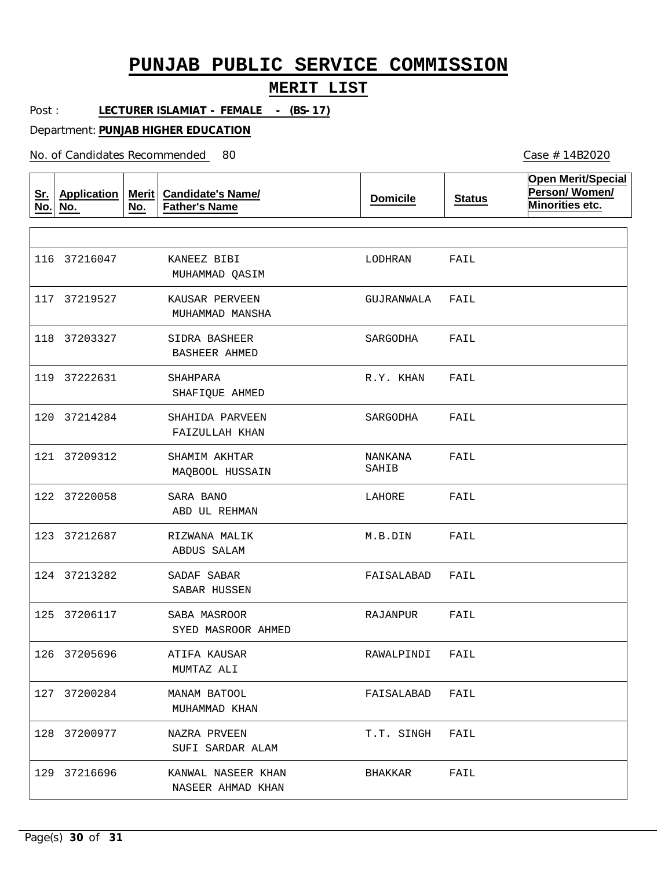### **MERIT LIST**

Post : **LECTURER ISLAMIAT - FEMALE - (BS-17)**

Department: **PUNJAB HIGHER EDUCATION**

No. of Candidates Recommended

| <u>Sr.</u><br>No. | <b>Application</b><br>No. | No. | Merit   Candidate's Name/<br><b>Father's Name</b> | <b>Domicile</b>  | <b>Status</b> | <b>Open Merit/Special</b><br>Person/Women/<br>Minorities etc. |
|-------------------|---------------------------|-----|---------------------------------------------------|------------------|---------------|---------------------------------------------------------------|
|                   |                           |     |                                                   |                  |               |                                                               |
|                   | 116 37216047              |     | KANEEZ BIBI<br>MUHAMMAD QASIM                     | LODHRAN          | FAIL          |                                                               |
|                   | 117 37219527              |     | KAUSAR PERVEEN<br>MUHAMMAD MANSHA                 | GUJRANWALA       | FAIL          |                                                               |
|                   | 118 37203327              |     | SIDRA BASHEER<br>BASHEER AHMED                    | SARGODHA         | FAIL          |                                                               |
|                   | 119 37222631              |     | SHAHPARA<br>SHAFIQUE AHMED                        | R.Y. KHAN        | FAIL          |                                                               |
|                   | 120 37214284              |     | SHAHIDA PARVEEN<br>FAIZULLAH KHAN                 | SARGODHA         | FAIL          |                                                               |
|                   | 121 37209312              |     | SHAMIM AKHTAR<br>MAQBOOL HUSSAIN                  | NANKANA<br>SAHIB | FAIL          |                                                               |
|                   | 122 37220058              |     | SARA BANO<br>ABD UL REHMAN                        | LAHORE           | FAIL          |                                                               |
|                   | 123 37212687              |     | RIZWANA MALIK<br>ABDUS SALAM                      | M.B.DIN          | FAIL          |                                                               |
|                   | 124 37213282              |     | SADAF SABAR<br>SABAR HUSSEN                       | FAISALABAD       | FAIL          |                                                               |
|                   | 125 37206117              |     | SABA MASROOR<br>SYED MASROOR AHMED                | RAJANPUR         | FAIL          |                                                               |
|                   | 126 37205696              |     | ATIFA KAUSAR<br>MUMTAZ ALI                        | RAWALPINDI       | FAIL          |                                                               |
|                   | 127 37200284              |     | MANAM BATOOL<br>MUHAMMAD KHAN                     | FAISALABAD       | FAIL          |                                                               |
|                   | 128 37200977              |     | NAZRA PRVEEN<br>SUFI SARDAR ALAM                  | T.T. SINGH       | FAIL          |                                                               |
|                   | 129 37216696              |     | KANWAL NASEER KHAN<br>NASEER AHMAD KHAN           | BHAKKAR          | FAIL          |                                                               |